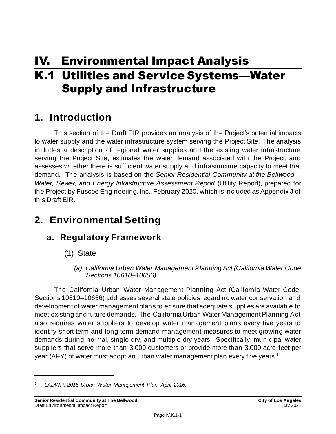# IV. Environmental Impact Analysis

# K.1 Utilities and Service Systems—Water Supply and Infrastructure

# **1. Introduction**

This section of the Draft EIR provides an analysis of the Project's potential impacts to water supply and the water infrastructure system serving the Project Site. The analysis includes a description of regional water supplies and the existing water infrastructure serving the Project Site, estimates the water demand associated with the Project, and assesses whether there is sufficient water supply and infrastructure capacity to meet that demand. The analysis is based on the *Senior Residential Community at the Bellwood— Water, Sewer, and Energy Infrastructure Assessment Report (Utility Report), prepared for* the Project by Fuscoe Engineering, Inc., February 2020, which is included as Appendix J of this Draft EIR.

# **2. Environmental Setting**

# **a. Regulatory Framework**

- (1) State
	- *(a) California Urban Water Management Planning Act (California Water Code Sections 10610–10656)*

The California Urban Water Management Planning Act (California Water Code, Sections 10610–10656) addresses several state policies regarding water conservation and development of water management plans to ensure that adequate supplies are available to meet existing and future demands. The California Urban Water Management Planning Act also requires water suppliers to develop water management plans every five years to identify short-term and long-term demand management measures to meet growing water demands during normal, single-dry, and multiple-dry years. Specifically, municipal water suppliers that serve more than 3,000 customers or provide more than 3,000 acre-feet per year (AFY) of water must adopt an urban water management plan every five years.<sup>1</sup>

*<sup>1</sup> LADWP, 2015 Urban Water Management Plan, April 2016.*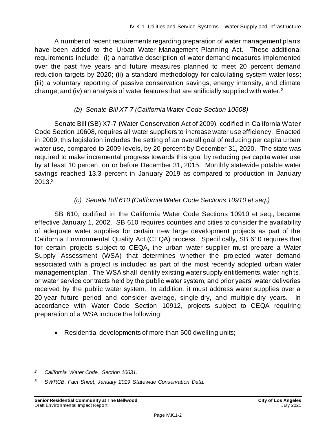A number of recent requirements regarding preparation of water management plans have been added to the Urban Water Management Planning Act. These additional requirements include: (i) a narrative description of water demand measures implemented over the past five years and future measures planned to meet 20 percent demand reduction targets by 2020; (ii) a standard methodology for calculating system water loss; (iii) a voluntary reporting of passive conservation savings, energy intensity, and climate change; and (iv) an analysis of water features that are artificially supplied with water.<sup>2</sup>

#### *(b) Senate Bill X7-7 (California Water Code Section 10608)*

Senate Bill (SB) X7-7 (Water Conservation Act of 2009), codified in California Water Code Section 10608, requires all water suppliers to increase water use efficiency. Enacted in 2009, this legislation includes the setting of an overall goal of reducing per capita urban water use, compared to 2009 levels, by 20 percent by December 31, 2020. The state was required to make incremental progress towards this goal by reducing per capita water use by at least 10 percent on or before December 31, 2015. Monthly statewide potable water savings reached 13.3 percent in January 2019 as compared to production in January 2013.<sup>3</sup>

#### *(c) Senate Bill 610 (California Water Code Sections 10910 et seq.)*

SB 610, codified in the California Water Code Sections 10910 et seq., became effective January 1, 2002. SB 610 requires counties and cities to consider the availability of adequate water supplies for certain new large development projects as part of the California Environmental Quality Act (CEQA) process. Specifically, SB 610 requires that for certain projects subject to CEQA, the urban water supplier must prepare a Water Supply Assessment (WSA) that determines whether the projected water demand associated with a project is included as part of the most recently adopted urban water management plan. The WSA shall identify existing water supply entitlements, water rights, or water service contracts held by the public water system, and prior years' water deliveries received by the public water system. In addition, it must address water supplies over a 20-year future period and consider average, single-dry, and multiple-dry years. accordance with Water Code Section 10912, projects subject to CEQA requiring preparation of a WSA include the following:

• Residential developments of more than 500 dwelling units;

*<sup>2</sup> California Water Code, Section 10631.*

*<sup>3</sup> SWRCB, Fact Sheet, January 2019 Statewide Conservation Data.*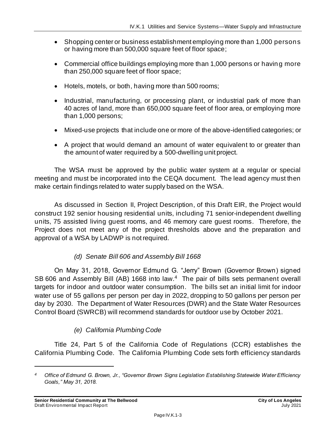- Shopping center or business establishment employing more than 1,000 persons or having more than 500,000 square feet of floor space;
- Commercial office buildings employing more than 1,000 persons or having more than 250,000 square feet of floor space;
- Hotels, motels, or both, having more than 500 rooms;
- Industrial, manufacturing, or processing plant, or industrial park of more than 40 acres of land, more than 650,000 square feet of floor area, or employing more than 1,000 persons;
- Mixed-use projects that include one or more of the above-identified categories; or
- A project that would demand an amount of water equivalent to or greater than the amount of water required by a 500-dwelling unit project.

The WSA must be approved by the public water system at a regular or special meeting and must be incorporated into the CEQA document. The lead agency must then make certain findings related to water supply based on the WSA.

As discussed in Section II, Project Description, of this Draft EIR, the Project would construct 192 senior housing residential units, including 71 senior-independent dwelling units, 75 assisted living guest rooms, and 46 memory care guest rooms. Therefore, the Project does not meet any of the project thresholds above and the preparation and approval of a WSA by LADWP is not required.

#### *(d) Senate Bill 606 and Assembly Bill 1668*

On May 31, 2018, Governor Edmund G. "Jerry" Brown (Governor Brown) signed SB 606 and Assembly Bill (AB) 1668 into law.<sup>4</sup> The pair of bills sets permanent overall targets for indoor and outdoor water consumption. The bills set an initial limit for indoor water use of 55 gallons per person per day in 2022, dropping to 50 gallons per person per day by 2030. The Department of Water Resources (DWR) and the State Water Resources Control Board (SWRCB) will recommend standards for outdoor use by October 2021.

#### *(e) California Plumbing Code*

Title 24, Part 5 of the California Code of Regulations (CCR) establishes the California Plumbing Code. The California Plumbing Code sets forth efficiency standards

*<sup>4</sup> Office of Edmund G. Brown, Jr., "Governor Brown Signs Legislation Establishing Statewide Water Efficiency Goals," May 31, 2018.*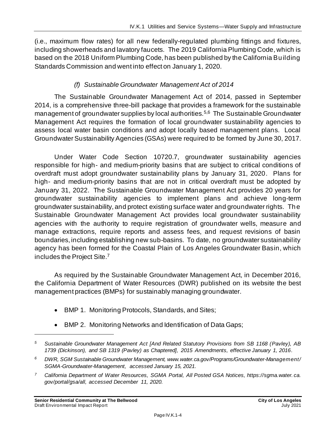(i.e., maximum flow rates) for all new federally-regulated plumbing fittings and fixtures, including showerheads and lavatory faucets. The 2019 California Plumbing Code, which is based on the 2018 Uniform Plumbing Code, has been published by the California Building Standards Commission and went into effect on January 1, 2020.

#### *(f) Sustainable Groundwater Management Act of 2014*

The Sustainable Groundwater Management Act of 2014, passed in September 2014, is a comprehensive three-bill package that provides a framework for the sustainable management of groundwater supplies by local authorities.<sup>5,6</sup> The Sustainable Groundwater Management Act requires the formation of local groundwater sustainability agencies to assess local water basin conditions and adopt locally based management plans. Local Groundwater Sustainability Agencies (GSAs) were required to be formed by June 30, 2017.

Under Water Code Section 10720.7, groundwater sustainability agencies responsible for high- and medium-priority basins that are subject to critical conditions of overdraft must adopt groundwater sustainability plans by January 31, 2020. Plans for high- and medium-priority basins that are not in critical overdraft must be adopted by January 31, 2022. The Sustainable Groundwater Management Act provides 20 years for groundwater sustainability agencies to implement plans and achieve long-term groundwater sustainability, and protect existing surface water and groundwater rights. The Sustainable Groundwater Management Act provides local groundwater sustainability agencies with the authority to require registration of groundwater wells, measure and manage extractions, require reports and assess fees, and request revisions of basin boundaries, including establishing new sub-basins. To date, no groundwater sustainability agency has been formed for the Coastal Plain of Los Angeles Groundwater Basin, which includes the Project Site.<sup>7</sup>

As required by the Sustainable Groundwater Management Act, in December 2016, the California Department of Water Resources (DWR) published on its website the best management practices (BMPs) for sustainably managing groundwater.

- BMP 1. Monitoring Protocols, Standards, and Sites;
- BMP 2. Monitoring Networks and Identification of Data Gaps;

*<sup>5</sup> Sustainable Groundwater Management Act [And Related Statutory Provisions from SB 1168 (Pavley), AB 1739 (Dickinson), and SB 1319 (Pavley) as Chaptered], 2015 Amendments, effective January 1, 2016.*

*<sup>6</sup> DWR, SGM Sustainable Groundwater Management, www.water.ca.gov/Programs/Groundwater-Management/ SGMA-Groundwater-Management, accessed January 15, 2021.*

*<sup>7</sup> California Department of Water Resources, SGMA Portal, All Posted GSA Notices, https://sgma.water. ca. gov/portal/gsa/all, accessed December 11, 2020.*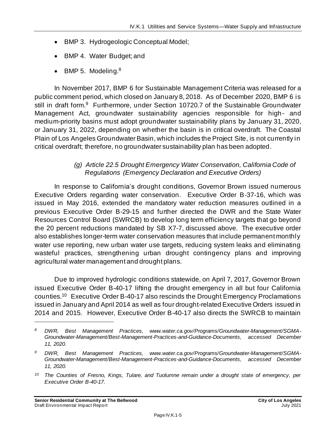- BMP 3. Hydrogeologic Conceptual Model;
- BMP 4. Water Budget; and
- BMP 5. Modeling. $8$

In November 2017, BMP 6 for Sustainable Management Criteria was released for a public comment period, which closed on January 8, 2018. As of December 2020, BMP 6 is still in draft form.<sup>9</sup> Furthermore, under Section 10720.7 of the Sustainable Groundwater Management Act, groundwater sustainability agencies responsible for high- and medium-priority basins must adopt groundwater sustainability plans by January 31, 2020, or January 31, 2022, depending on whether the basin is in critical overdraft. The Coastal Plain of Los Angeles Groundwater Basin, which includes the Project Site, is not currently in critical overdraft; therefore, no groundwater sustainability plan has been adopted.

#### *(g) Article 22.5 Drought Emergency Water Conservation, California Code of Regulations (Emergency Declaration and Executive Orders)*

In response to California's drought conditions, Governor Brown issued numerous Executive Orders regarding water conservation. Executive Order B-37-16, which was issued in May 2016, extended the mandatory water reduction measures outlined in a previous Executive Order B-29-15 and further directed the DWR and the State Water Resources Control Board (SWRCB) to develop long term efficiency targets that go beyond the 20 percent reductions mandated by SB X7-7, discussed above. The executive order also establishes longer-term water conservation measures that include permanent monthly water use reporting, new urban water use targets, reducing system leaks and eliminating wasteful practices, strengthening urban drought contingency plans and improving agricultural water management and drought plans.

Due to improved hydrologic conditions statewide, on April 7, 2017, Governor Brown issued Executive Order B-40-17 lifting the drought emergency in all but four California counties.<sup>10</sup> Executive Order B-40-17 also rescinds the Drought Emergency Proclamations issued in January and April 2014 as well as four drought-related Executive Orders issued in 2014 and 2015. However, Executive Order B-40-17 also directs the SWRCB to maintain

*<sup>8</sup> DWR, Best Management Practices, www.water.ca.gov/Programs/Groundwater-Management/SGMA-Groundwater-Management/Best-Management-Practices-and-Guidance-Documents, accessed December 11, 2020.*

*<sup>9</sup> DWR, Best Management Practices, www.water.ca.gov/Programs/Groundwater-Management/SGMA-Groundwater-Management/Best-Management-Practices-and-Guidance-Documents, accessed December 11, 2020.*

*<sup>10</sup> The Counties of Fresno, Kings, Tulare, and Tuolumne remain under a drought state of emergency, per Executive Order B-40-17.*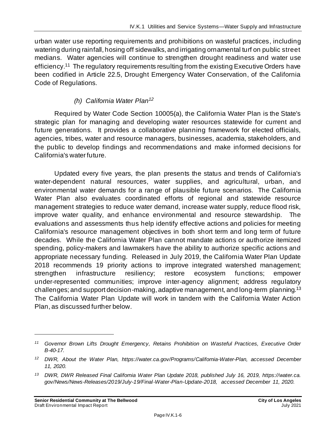urban water use reporting requirements and prohibitions on wasteful practices, including watering during rainfall, hosing off sidewalks, and irrigating ornamental turf on public street medians. Water agencies will continue to strengthen drought readiness and water use efficiency.<sup>11</sup> The regulatory requirements resulting from the existing Executive Orders have been codified in Article 22.5, Drought Emergency Water Conservation, of the California Code of Regulations.

#### *(h) California Water Plan<sup>12</sup>*

Required by Water Code Section 10005(a), the California Water Plan is the State's strategic plan for managing and developing water resources statewide for current and future generations. It provides a collaborative planning framework for elected officials, agencies, tribes, water and resource managers, businesses, academia, stakeholders, and the public to develop findings and recommendations and make informed decisions for California's water future.

Updated every five years, the plan presents the status and trends of California's water-dependent natural resources, water supplies, and agricultural, urban, and environmental water demands for a range of plausible future scenarios. The California Water Plan also evaluates coordinated efforts of regional and statewide resource management strategies to reduce water demand, increase water supply, reduce flood risk, improve water quality, and enhance environmental and resource stewardship. The evaluations and assessments thus help identify effective actions and policies for meeting California's resource management objectives in both short term and long term of future decades. While the California Water Plan cannot mandate actions or authorize itemized spending, policy-makers and lawmakers have the ability to authorize specific actions and appropriate necessary funding. Released in July 2019, the California Water Plan Update 2018 recommends 19 priority actions to improve integrated watershed management; strengthen infrastructure resiliency; restore ecosystem functions; empower under-represented communities; improve inter-agency alignment; address regulatory challenges; and support decision-making, adaptive management, and long-term planning.<sup>13</sup> The California Water Plan Update will work in tandem with the California Water Action Plan, as discussed further below.

*<sup>11</sup> Governor Brown Lifts Drought Emergency, Retains Prohibition on Wasteful Practices, Executive Order B-40-17.*

*<sup>12</sup> DWR, About the Water Plan, https://water.ca.gov/Programs/California-Water-Plan, accessed December 11, 2020.*

*<sup>13</sup> DWR, DWR Released Final California Water Plan Update 2018, published July 16, 2019, https://water.ca. gov/News/News-Releases/2019/July-19/Final-Water-Plan-Update-2018, accessed December 11, 2020.*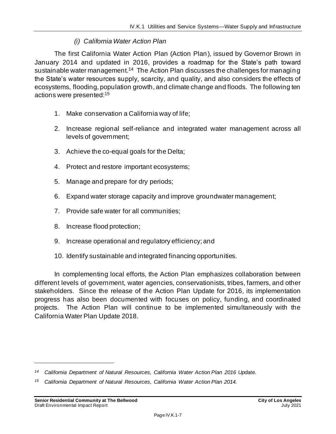#### *(i) California Water Action Plan*

The first California Water Action Plan (Action Plan), issued by Governor Brown in January 2014 and updated in 2016, provides a roadmap for the State's path toward sustainable water management.<sup>14</sup> The Action Plan discusses the challenges for managing the State's water resources supply, scarcity, and quality, and also considers the effects of ecosystems, flooding, population growth, and climate change and floods. The following ten actions were presented:<sup>15</sup>

- 1. Make conservation a California way of life;
- 2. Increase regional self-reliance and integrated water management across all levels of government;
- 3. Achieve the co-equal goals for the Delta;
- 4. Protect and restore important ecosystems;
- 5. Manage and prepare for dry periods;
- 6. Expand water storage capacity and improve groundwater management;
- 7. Provide safe water for all communities;
- 8. Increase flood protection;
- 9. Increase operational and regulatory efficiency; and
- 10. Identify sustainable and integrated financing opportunities.

In complementing local efforts, the Action Plan emphasizes collaboration between different levels of government, water agencies, conservationists, tribes, farmers, and other stakeholders. Since the release of the Action Plan Update for 2016, its implementation progress has also been documented with focuses on policy, funding, and coordinated projects. The Action Plan will continue to be implemented simultaneously with the California Water Plan Update 2018.

*<sup>14</sup> California Department of Natural Resources, California Water Action Plan 2016 Update.*

*<sup>15</sup> California Department of Natural Resources, California Water Action Plan 2014.*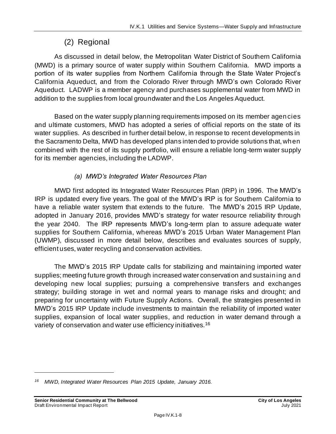# (2) Regional

As discussed in detail below, the Metropolitan Water District of Southern California (MWD) is a primary source of water supply within Southern California. MWD imports a portion of its water supplies from Northern California through the State Water Project's California Aqueduct, and from the Colorado River through MWD's own Colorado River Aqueduct. LADWP is a member agency and purchases supplemental water from MWD in addition to the supplies from local groundwater and the Los Angeles Aqueduct.

Based on the water supply planning requirements imposed on its member agencies and ultimate customers, MWD has adopted a series of official reports on the state of its water supplies. As described in further detail below, in response to recent developments in the Sacramento Delta, MWD has developed plans intended to provide solutions that, when combined with the rest of its supply portfolio, will ensure a reliable long-term water supply for its member agencies, including the LADWP.

#### *(a) MWD's Integrated Water Resources Plan*

MWD first adopted its Integrated Water Resources Plan (IRP) in 1996. The MWD's IRP is updated every five years. The goal of the MWD's IRP is for Southern California to have a reliable water system that extends to the future. The MWD's 2015 IRP Update, adopted in January 2016, provides MWD's strategy for water resource reliability through the year 2040. The IRP represents MWD's long-term plan to assure adequate water supplies for Southern California, whereas MWD's 2015 Urban Water Management Plan (UWMP), discussed in more detail below, describes and evaluates sources of supply, efficient uses, water recycling and conservation activities.

The MWD's 2015 IRP Update calls for stabilizing and maintaining imported water supplies; meeting future growth through increased water conservation and sustaining and developing new local supplies; pursuing a comprehensive transfers and exchanges strategy; building storage in wet and normal years to manage risks and drought; and preparing for uncertainty with Future Supply Actions. Overall, the strategies presented in MWD's 2015 IRP Update include investments to maintain the reliability of imported water supplies, expansion of local water supplies, and reduction in water demand through a variety of conservation and water use efficiency initiatives.<sup>16</sup>

*<sup>16</sup> MWD, Integrated Water Resources Plan 2015 Update, January 2016.*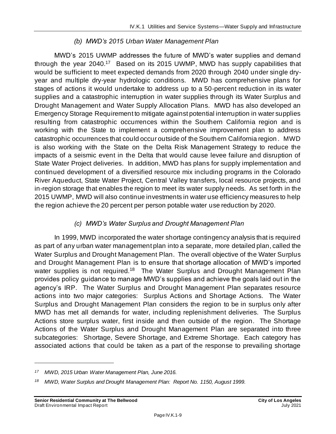#### *(b) MWD's 2015 Urban Water Management Plan*

MWD's 2015 UWMP addresses the future of MWD's water supplies and demand through the year 2040.<sup>17</sup> Based on its 2015 UWMP, MWD has supply capabilities that would be sufficient to meet expected demands from 2020 through 2040 under single dryyear and multiple dry-year hydrologic conditions. MWD has comprehensive plans for stages of actions it would undertake to address up to a 50-percent reduction in its water supplies and a catastrophic interruption in water supplies through its Water Surplus and Drought Management and Water Supply Allocation Plans. MWD has also developed an Emergency Storage Requirement to mitigate against potential interruption in water supplies resulting from catastrophic occurrences within the Southern California region and is working with the State to implement a comprehensive improvement plan to address catastrophic occurrences that could occur outside of the Southern California region . MWD is also working with the State on the Delta Risk Management Strategy to reduce the impacts of a seismic event in the Delta that would cause levee failure and disruption of State Water Project deliveries. In addition, MWD has plans for supply implementation and continued development of a diversified resource mix including programs in the Colorado River Aqueduct, State Water Project, Central Valley transfers, local resource projects, and in-region storage that enables the region to meet its water supply needs. As set forth in the 2015 UWMP, MWD will also continue investments in water use efficiency measures to help the region achieve the 20 percent per person potable water use reduction by 2020.

#### *(c) MWD's Water Surplus and Drought Management Plan*

In 1999, MWD incorporated the water shortage contingency analysis that is required as part of any urban water management plan into a separate, more detailed plan, called the Water Surplus and Drought Management Plan. The overall objective of the Water Surplus and Drought Management Plan is to ensure that shortage allocation of MWD's imported water supplies is not required.<sup>18</sup> The Water Surplus and Drought Management Plan provides policy guidance to manage MWD's supplies and achieve the goals laid out in the agency's IRP. The Water Surplus and Drought Management Plan separates resource actions into two major categories: Surplus Actions and Shortage Actions. The Water Surplus and Drought Management Plan considers the region to be in surplus only after MWD has met all demands for water, including replenishment deliveries. The Surplus Actions store surplus water, first inside and then outside of the region. The Shortage Actions of the Water Surplus and Drought Management Plan are separated into three subcategories: Shortage, Severe Shortage, and Extreme Shortage. Each category has associated actions that could be taken as a part of the response to prevailing shortage

*<sup>17</sup> MWD, 2015 Urban Water Management Plan, June 2016.*

*<sup>18</sup> MWD, Water Surplus and Drought Management Plan: Report No. 1150, August 1999.*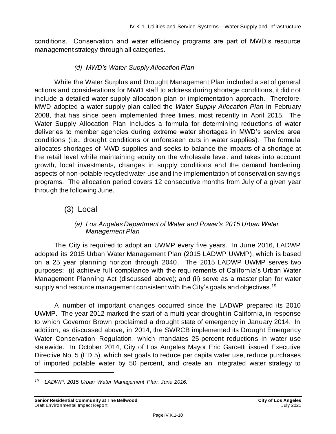conditions. Conservation and water efficiency programs are part of MWD's resource management strategy through all categories.

#### *(d) MWD's Water Supply Allocation Plan*

While the Water Surplus and Drought Management Plan included a set of general actions and considerations for MWD staff to address during shortage conditions, it did not include a detailed water supply allocation plan or implementation approach. Therefore, MWD adopted a water supply plan called the *Water Supply Allocation Plan* in February 2008, that has since been implemented three times, most recently in April 2015. The Water Supply Allocation Plan includes a formula for determining reductions of water deliveries to member agencies during extreme water shortages in MWD's service area conditions (i.e., drought conditions or unforeseen cuts in water supplies). The formula allocates shortages of MWD supplies and seeks to balance the impacts of a shortage at the retail level while maintaining equity on the wholesale level, and takes into account growth, local investments, changes in supply conditions and the demand hardening aspects of non-potable recycled water use and the implementation of conservation savings programs. The allocation period covers 12 consecutive months from July of a given year through the following June.

### (3) Local

#### *(a) Los Angeles Department of Water and Power's 2015 Urban Water Management Plan*

The City is required to adopt an UWMP every five years. In June 2016, LADWP adopted its 2015 Urban Water Management Plan (2015 LADWP UWMP), which is based on a 25 year planning horizon through 2040. The 2015 LADWP UWMP serves two purposes: (i) achieve full compliance with the requirements of California's Urban Water Management Planning Act (discussed above); and (ii) serve as a master plan for water supply and resource management consistent with the City's goals and objectives.<sup>19</sup>

A number of important changes occurred since the LADWP prepared its 2010 UWMP. The year 2012 marked the start of a multi-year drought in California, in response to which Governor Brown proclaimed a drought state of emergency in January 2014. In addition, as discussed above, in 2014, the SWRCB implemented its Drought Emergency Water Conservation Regulation, which mandates 25-percent reductions in water use statewide. In October 2014, City of Los Angeles Mayor Eric Garcetti issued Executive Directive No. 5 (ED 5), which set goals to reduce per capita water use, reduce purchases of imported potable water by 50 percent, and create an integrated water strategy to

*<sup>19</sup> LADWP, 2015 Urban Water Management Plan, June 2016.*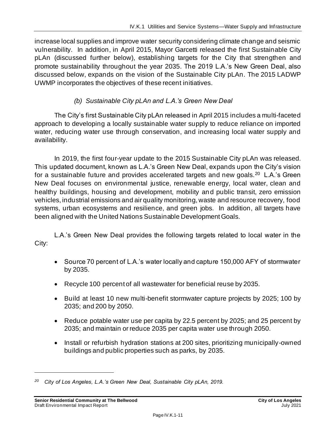increase local supplies and improve water security considering climate change and seismic vulnerability. In addition, in April 2015, Mayor Garcetti released the first Sustainable City pLAn (discussed further below), establishing targets for the City that strengthen and promote sustainability throughout the year 2035. The 2019 L.A.'s New Green Deal, also discussed below, expands on the vision of the Sustainable City pLAn. The 2015 LADWP UWMP incorporates the objectives of these recent initiatives.

#### *(b) Sustainable City pLAn and L.A.'s Green New Deal*

The City's first Sustainable City pLAn released in April 2015 includes a multi-faceted approach to developing a locally sustainable water supply to reduce reliance on imported water, reducing water use through conservation, and increasing local water supply and availability.

In 2019, the first four-year update to the 2015 Sustainable City pLAn was released. This updated document, known as L.A.'s Green New Deal, expands upon the City's vision for a sustainable future and provides accelerated targets and new goals.<sup>20</sup> L.A.'s Green New Deal focuses on environmental justice, renewable energy, local water, clean and healthy buildings, housing and development, mobility and public transit, zero emission vehicles, industrial emissions and air quality monitoring, waste and resource recovery, food systems, urban ecosystems and resilience, and green jobs. In addition, all targets have been aligned with the United Nations Sustainable Development Goals.

L.A.'s Green New Deal provides the following targets related to local water in the City:

- Source 70 percent of L.A.'s water locally and capture 150,000 AFY of stormwater by 2035.
- Recycle 100 percent of all wastewater for beneficial reuse by 2035.
- Build at least 10 new multi-benefit stormwater capture projects by 2025; 100 by 2035; and 200 by 2050.
- Reduce potable water use per capita by 22.5 percent by 2025; and 25 percent by 2035; and maintain or reduce 2035 per capita water use through 2050.
- Install or refurbish hydration stations at 200 sites, prioritizing municipally-owned buildings and public properties such as parks, by 2035.

*<sup>20</sup> City of Los Angeles, L.A.'s Green New Deal, Sustainable City pLAn, 2019.*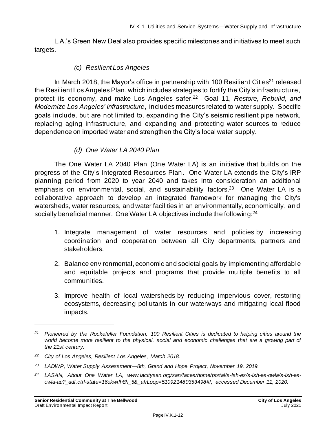L.A.'s Green New Deal also provides specific milestones and initiatives to meet such targets.

#### *(c) Resilient Los Angeles*

In March 2018, the Mayor's office in partnership with 100 Resilient Cities<sup>21</sup> released the Resilient Los Angeles Plan, which includes strategies to fortify the City's infrastructure, protect its economy, and make Los Angeles safer.<sup>22</sup> Goal 11, *Restore, Rebuild, and Modernize Los Angeles' Infrastructure*, includes measures related to water supply. Specific goals include, but are not limited to, expanding the City's seismic resilient pipe network, replacing aging infrastructure, and expanding and protecting water sources to reduce dependence on imported water and strengthen the City's local water supply.

#### *(d) One Water LA 2040 Plan*

The One Water LA 2040 Plan (One Water LA) is an initiative that builds on the progress of the City's Integrated Resources Plan. One Water LA extends the City's IRP planning period from 2020 to year 2040 and takes into consideration an additional emphasis on environmental, social, and sustainability factors.<sup>23</sup> One Water LA is a collaborative approach to develop an integrated framework for managing the City's watersheds, water resources, and water facilities in an environmentally, economically, and socially beneficial manner. One Water LA objectives include the following:<sup>24</sup>

- 1. Integrate management of water resources and policies by increasing coordination and cooperation between all City departments, partners and stakeholders.
- 2. Balance environmental, economic and societal goals by implementing affordable and equitable projects and programs that provide multiple benefits to all communities.
- 3. Improve health of local watersheds by reducing impervious cover, restoring ecosystems, decreasing pollutants in our waterways and mitigating local flood impacts.

*<sup>21</sup> Pioneered by the Rockefeller Foundation, 100 Resilient Cities is dedicated to helping cities around the*  world become more resilient to the physical, social and economic challenges that are a growing part of *the 21st century.*

*<sup>22</sup> City of Los Angeles, Resilient Los Angeles, March 2018.*

*<sup>23</sup> LADWP, Water Supply Assessment—8th, Grand and Hope Project, November 19, 2019.*

*<sup>24</sup> LASAN, About One Water LA, www.lacitysan.org/san/faces/home/portal/s-lsh-es/s-lsh-es-owla/s-lsh-esowla-au?\_adf.ctrl-state=16okwrlh8h\_5&\_afrLoop=510921480353498#!, accessed December 11, 2020.*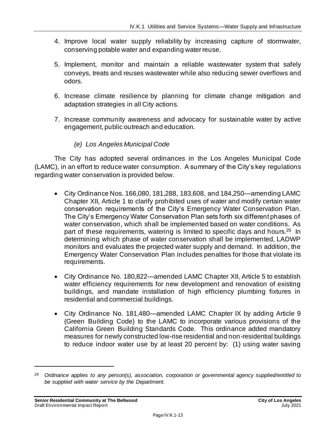- 4. Improve local water supply reliability by increasing capture of stormwater, conserving potable water and expanding water reuse.
- 5. Implement, monitor and maintain a reliable wastewater system that safely conveys, treats and reuses wastewater while also reducing sewer overflows and odors.
- 6. Increase climate resilience by planning for climate change mitigation and adaptation strategies in all City actions.
- 7. Increase community awareness and advocacy for sustainable water by active engagement, public outreach and education.
	- *(e) Los Angeles Municipal Code*

The City has adopted several ordinances in the Los Angeles Municipal Code (LAMC), in an effort to reduce water consumption. A summary of the City's key regulations regarding water conservation is provided below.

- City Ordinance Nos. 166,080, 181,288, 183,608, and 184,250—amending LAMC Chapter XII, Article 1 to clarify prohibited uses of water and modify certain water conservation requirements of the City's Emergency Water Conservation Plan. The City's Emergency Water Conservation Plan sets forth six different phases of water conservation, which shall be implemented based on water conditions. As part of these requirements, watering is limited to specific days and hours.<sup>25</sup> In determining which phase of water conservation shall be implemented, LADWP monitors and evaluates the projected water supply and demand. In addition, the Emergency Water Conservation Plan includes penalties for those that violate its requirements.
- City Ordinance No. 180,822—amended LAMC Chapter XII, Article 5 to establish water efficiency requirements for new development and renovation of existing buildings, and mandate installation of high efficiency plumbing fixtures in residential and commercial buildings.
- City Ordinance No. 181,480—amended LAMC Chapter IX by adding Article 9 (Green Building Code) to the LAMC to incorporate various provisions of the California Green Building Standards Code. This ordinance added mandatory measures for newly constructed low-rise residential and non-residential buildings to reduce indoor water use by at least 20 percent by: (1) using water saving

*<sup>25</sup> Ordinance applies to any person(s), association, corporation or governmental agency supplied/entitled to be supplied with water service by the Department.*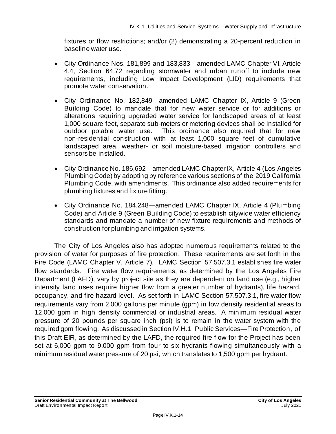fixtures or flow restrictions; and/or (2) demonstrating a 20-percent reduction in baseline water use.

- City Ordinance Nos. 181,899 and 183,833—amended LAMC Chapter VI, Article 4.4, Section 64.72 regarding stormwater and urban runoff to include new requirements, including Low Impact Development (LID) requirements that promote water conservation.
- City Ordinance No. 182,849—amended LAMC Chapter IX, Article 9 (Green Building Code) to mandate that for new water service or for additions or alterations requiring upgraded water service for landscaped areas of at least 1,000 square feet, separate sub-meters or metering devices shall be installed for outdoor potable water use. This ordinance also required that for new non-residential construction with at least 1,000 square feet of cumulative landscaped area, weather- or soil moisture-based irrigation controllers and sensors be installed.
- City Ordinance No. 186,692—amended LAMC Chapter IX, Article 4 (Los Angeles Plumbing Code) by adopting by reference various sections of the 2019 California Plumbing Code, with amendments. This ordinance also added requirements for plumbing fixtures and fixture fitting.
- City Ordinance No. 184,248—amended LAMC Chapter IX, Article 4 (Plumbing Code) and Article 9 (Green Building Code) to establish citywide water efficiency standards and mandate a number of new fixture requirements and methods of construction for plumbing and irrigation systems.

The City of Los Angeles also has adopted numerous requirements related to the provision of water for purposes of fire protection. These requirements are set forth in the Fire Code (LAMC Chapter V, Article 7). LAMC Section 57.507.3.1 establishes fire water flow standards. Fire water flow requirements, as determined by the Los Angeles Fire Department (LAFD), vary by project site as they are dependent on land use (e.g., higher intensity land uses require higher flow from a greater number of hydrants), life hazard, occupancy, and fire hazard level. As set forth in LAMC Section 57.507.3.1, fire water flow requirements vary from 2,000 gallons per minute (gpm) in low density residential areas to 12,000 gpm in high density commercial or industrial areas. A minimum residual water pressure of 20 pounds per square inch (psi) is to remain in the water system with the required gpm flowing. As discussed in Section IV.H.1, Public Services—Fire Protection, of this Draft EIR, as determined by the LAFD, the required fire flow for the Project has been set at 6,000 gpm to 9,000 gpm from four to six hydrants flowing simultaneously with a minimum residual water pressure of 20 psi, which translates to 1,500 gpm per hydrant.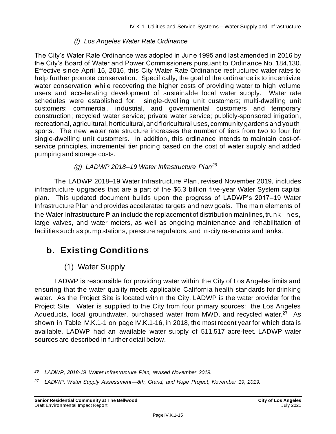#### *(f) Los Angeles Water Rate Ordinance*

The City's Water Rate Ordinance was adopted in June 1995 and last amended in 2016 by the City's Board of Water and Power Commissioners pursuant to Ordinance No. 184,130. Effective since April 15, 2016, this City Water Rate Ordinance restructured water rates to help further promote conservation. Specifically, the goal of the ordinance is to incentivize water conservation while recovering the higher costs of providing water to high volume users and accelerating development of sustainable local water supply. Water rate schedules were established for: single-dwelling unit customers; multi-dwelling unit customers; commercial, industrial, and governmental customers and temporary construction; recycled water service; private water service; publicly-sponsored irrigation, recreational, agricultural, horticultural, and floricultural uses, community gardens and youth sports. The new water rate structure increases the number of tiers from two to four for single-dwelling unit customers. In addition, this ordinance intends to maintain cost-ofservice principles, incremental tier pricing based on the cost of water supply and added pumping and storage costs.

*(g) LADWP 2018–19 Water Infrastructure Plan<sup>26</sup>*

The LADWP 2018–19 Water Infrastructure Plan, revised November 2019, includes infrastructure upgrades that are a part of the \$6.3 billion five-year Water System capital plan. This updated document builds upon the progress of LADWP's 2017–19 Water Infrastructure Plan and provides accelerated targets and new goals. The main elements of the Water Infrastructure Plan include the replacement of distribution mainlines, trunk lines, large valves, and water meters, as well as ongoing maintenance and rehabilitation of facilities such as pump stations, pressure regulators, and in-city reservoirs and tanks.

# **b. Existing Conditions**

### (1) Water Supply

LADWP is responsible for providing water within the City of Los Angeles limits and ensuring that the water quality meets applicable California health standards for drinking water. As the Project Site is located within the City, LADWP is the water provider for the Project Site. Water is supplied to the City from four primary sources: the Los Angeles Aqueducts, local groundwater, purchased water from MWD, and recycled water.<sup>27</sup> As shown in Table IV.K.1-1 on pag[e IV.K.1-16](#page-15-0), in 2018, the most recent year for which data is available, LADWP had an available water supply of 511,517 acre-feet. LADWP water sources are described in further detail below.

*<sup>26</sup> LADWP, 2018-19 Water Infrastructure Plan, revised November 2019.*

*<sup>27</sup> LADWP, Water Supply Assessment—8th, Grand, and Hope Project, November 19, 2019.*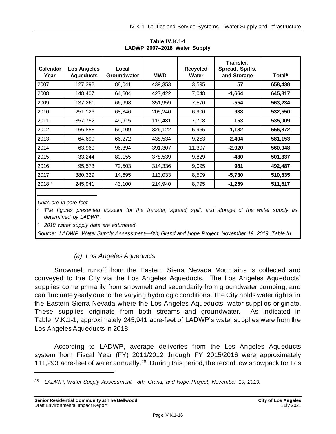<span id="page-15-0"></span>

| Calendar<br>Year | <b>Los Angeles</b><br><b>Aqueducts</b> | Local<br><b>Groundwater</b> | <b>MWD</b> | <b>Recycled</b><br>Water | Transfer,<br>Spread, Spills,<br>and Storage | <b>Total</b> <sup>a</sup> |
|------------------|----------------------------------------|-----------------------------|------------|--------------------------|---------------------------------------------|---------------------------|
| 2007             | 127,392                                | 88,041                      | 439,353    | 3,595                    | 57                                          | 658,438                   |
| 2008             | 148,407                                | 64,604                      | 427,422    | 7,048                    | $-1,664$                                    | 645,817                   |
| 2009             | 137,261                                | 66,998                      | 351,959    | 7,570                    | $-554$                                      | 563,234                   |
| 2010             | 251,126                                | 68,346                      | 205,240    | 6,900                    | 938                                         | 532,550                   |
| 2011             | 357,752                                | 49,915                      | 119,481    | 7,708                    | 153                                         | 535,009                   |
| 2012             | 166,858                                | 59,109                      | 326,122    | 5,965                    | $-1,182$                                    | 556,872                   |
| 2013             | 64,690                                 | 66,272                      | 438,534    | 9,253                    | 2,404                                       | 581,153                   |
| 2014             | 63,960                                 | 96,394                      | 391,307    | 11,307                   | $-2,020$                                    | 560,948                   |
| 2015             | 33,244                                 | 80,155                      | 378,539    | 9,829                    | -430                                        | 501,337                   |
| 2016             | 95,573                                 | 72,503                      | 314,336    | 9,095                    | 981                                         | 492,487                   |
| 2017             | 380,329                                | 14,695                      | 113,033    | 8,509                    | $-5,730$                                    | 510,835                   |
| 2018 b           | 245,941                                | 43,100                      | 214,940    | 8,795                    | $-1,259$                                    | 511,517                   |

**Table IV.K.1-1 LADWP 2007–2018 Water Supply**

*Units are in acre-feet.*

*<sup>a</sup> The figures presented account for the transfer, spread, spill, and storage of the water supply as determined by LADWP.*

*<sup>b</sup> 2018 water supply data are estimated.*

*Source: LADWP, Water Supply Assessment—8th, Grand and Hope Project, November 19, 2019, Table III.*

#### *(a) Los Angeles Aqueducts*

Snowmelt runoff from the Eastern Sierra Nevada Mountains is collected and conveyed to the City via the Los Angeles Aqueducts. The Los Angeles Aqueducts' supplies come primarily from snowmelt and secondarily from groundwater pumping, and can fluctuate yearly due to the varying hydrologic conditions. The City holds water rights in the Eastern Sierra Nevada where the Los Angeles Aqueducts' water supplies originate. These supplies originate from both streams and groundwater. As indicated in Table IV.K.1-1, approximately 245,941 acre-feet of LADWP's water supplies were from the Los Angeles Aqueducts in 2018.

According to LADWP, average deliveries from the Los Angeles Aqueducts system from Fiscal Year (FY) 2011/2012 through FY 2015/2016 were approximately 111,293 acre-feet of water annually.<sup>28</sup> During this period, the record low snowpack for Los

*<sup>28</sup> LADWP, Water Supply Assessment—8th, Grand, and Hope Project, November 19, 2019.*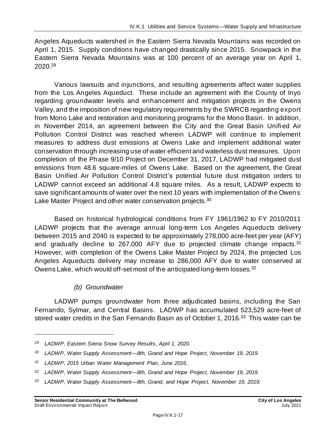Angeles Aqueducts watershed in the Eastern Sierra Nevada Mountains was recorded on April 1, 2015. Supply conditions have changed drastically since 2015. Snowpack in the Eastern Sierra Nevada Mountains was at 100 percent of an average year on April 1, 2020. 29

Various lawsuits and injunctions, and resulting agreements affect water supplies from the Los Angeles Aqueduct. These include an agreement with the County of Inyo regarding groundwater levels and enhancement and mitigation projects in the Owens Valley, and the imposition of new regulatory requirements by the SWRCB regarding export from Mono Lake and restoration and monitoring programs for the Mono Basin. In addition, in November 2014, an agreement between the City and the Great Basin Unified Air Pollution Control District was reached wherein LADWP will continue to implement measures to address dust emissions at Owens Lake and implement additional water conservation through increasing use of water efficient and waterless dust measures. Upon completion of the Phase 9/10 Project on December 31, 2017, LADWP had mitigated dust emissions from 48.6 square-miles of Owens Lake. Based on the agreement, the Great Basin Unified Air Pollution Control District's potential future dust mitigation orders to LADWP cannot exceed an additional 4.8 square miles. As a result, LADWP expects to save significant amounts of water over the next 10 years with implementation of the Owens Lake Master Project and other water conservation projects.<sup>30</sup>

Based on historical hydrological conditions from FY 1961/1962 to FY 2010/2011 LADWP projects that the average annual long-term Los Angeles Aqueducts delivery between 2015 and 2040 is expected to be approximately 278,000 acre-feet per year (AFY) and gradually decline to 267,000 AFY due to projected climate change impacts.<sup>31</sup> However, with completion of the Owens Lake Master Project by 2024, the projected Los Angeles Aqueducts delivery may increase to 286,000 AFY due to water conserved at Owens Lake, which would off-set most of the anticipated long-term losses.<sup>32</sup>

#### *(b) Groundwater*

LADWP pumps groundwater from three adjudicated basins, including the San Fernando, Sylmar, and Central Basins. LADWP has accumulated 523,529 acre-feet of stored water credits in the San Fernando Basin as of October 1, 2016.<sup>33</sup> This water can be

*<sup>29</sup> LADWP, Eastern Sierra Snow Survey Results, April 1, 2020.*

*<sup>30</sup> LADWP, Water Supply Assessment—8th, Grand and Hope Project, November 19, 2019.*

*<sup>31</sup> LADWP, 2015 Urban Water Management Plan, June 2016.*

*<sup>32</sup> LADWP, Water Supply Assessment—8th, Grand and Hope Project, November 19, 2019.*

*<sup>33</sup> LADWP, Water Supply Assessment—8th, Grand, and Hope Project, November 19, 2019.*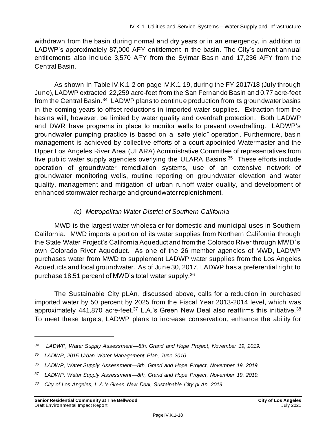withdrawn from the basin during normal and dry years or in an emergency, in addition to LADWP's approximately 87,000 AFY entitlement in the basin. The City's current annual entitlements also include 3,570 AFY from the Sylmar Basin and 17,236 AFY from the Central Basin.

As shown in Table IV.K.1-2 on page [IV.K.1-19,](#page-18-0) during the FY 2017/18 (July through June), LADWP extracted 22,259 acre-feet from the San Fernando Basin and 0.77 acre-feet from the Central Basin.<sup>34</sup> LADWP plans to continue production from its groundwater basins in the coming years to offset reductions in imported water supplies. Extraction from the basins will, however, be limited by water quality and overdraft protection. Both LADWP and DWR have programs in place to monitor wells to prevent overdrafting. LADWP's groundwater pumping practice is based on a "safe yield" operation . Furthermore, basin management is achieved by collective efforts of a court-appointed Watermaster and the Upper Los Angeles River Area (ULARA) Administrative Committee of representatives from five public water supply agencies overlying the ULARA Basins.<sup>35</sup> These efforts include operation of groundwater remediation systems, use of an extensive network of groundwater monitoring wells, routine reporting on groundwater elevation and water quality, management and mitigation of urban runoff water quality, and development of enhanced stormwater recharge and groundwater replenishment.

#### *(c) Metropolitan Water District of Southern California*

MWD is the largest water wholesaler for domestic and municipal uses in Southern California. MWD imports a portion of its water supplies from Northern California through the State Water Project's California Aqueduct and from the Colorado River through MWD's own Colorado River Aqueduct. As one of the 26 member agencies of MWD, LADWP purchases water from MWD to supplement LADWP water supplies from the Los Angeles Aqueducts and local groundwater. As of June 30, 2017, LADWP has a preferential right to purchase 18.51 percent of MWD's total water supply.<sup>36</sup>

The Sustainable City pLAn, discussed above, calls for a reduction in purchased imported water by 50 percent by 2025 from the Fiscal Year 2013-2014 level, which was approximately 441,870 acre-feet.<sup>37</sup> L.A.'s Green New Deal also reaffirms this initiative.<sup>38</sup> To meet these targets, LADWP plans to increase conservation, enhance the ability for

*<sup>34</sup> LADWP, Water Supply Assessment—8th, Grand and Hope Project, November 19, 2019.*

*<sup>35</sup> LADWP, 2015 Urban Water Management Plan, June 2016.*

*<sup>36</sup> LADWP, Water Supply Assessment—8th, Grand and Hope Project, November 19, 2019.*

*<sup>37</sup> LADWP, Water Supply Assessment—8th, Grand and Hope Project, November 19, 2019.*

*<sup>38</sup> City of Los Angeles, L.A.'s Green New Deal, Sustainable City pLAn, 2019.*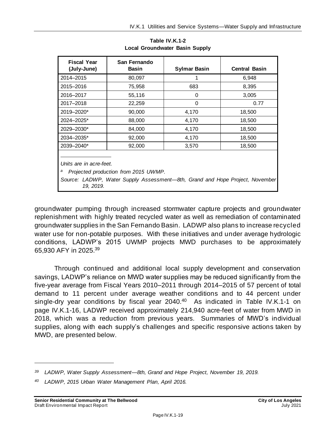<span id="page-18-0"></span>

| <b>Fiscal Year</b><br>(July-June)                                                                                                                                 | San Fernando<br><b>Basin</b> | <b>Sylmar Basin</b> | <b>Central Basin</b> |  |  |  |
|-------------------------------------------------------------------------------------------------------------------------------------------------------------------|------------------------------|---------------------|----------------------|--|--|--|
| 2014-2015                                                                                                                                                         | 80,097                       |                     | 6,948                |  |  |  |
| 2015-2016                                                                                                                                                         | 75,958                       | 683                 | 8,395                |  |  |  |
| 2016-2017                                                                                                                                                         | 55,116                       | 0                   | 3,005                |  |  |  |
| 2017-2018                                                                                                                                                         | 22,259                       | $\Omega$            | 0.77                 |  |  |  |
| 2019-2020*                                                                                                                                                        | 90,000                       | 4,170               | 18,500               |  |  |  |
| 2024-2025*                                                                                                                                                        | 88,000                       | 4,170               | 18,500               |  |  |  |
| 2029-2030*                                                                                                                                                        | 84,000                       | 4,170               | 18,500               |  |  |  |
| 2034-2035*                                                                                                                                                        | 92,000                       | 4,170               | 18,500               |  |  |  |
| 2039-2040*                                                                                                                                                        | 92,000                       | 3,570               | 18,500               |  |  |  |
| Units are in acre-feet.<br>Projected production from 2015 UWMP.<br>а<br>Source: LADWP, Water Supply Assessment-8th, Grand and Hope Project, November<br>19, 2019. |                              |                     |                      |  |  |  |

**Table IV.K.1-2 Local Groundwater Basin Supply**

groundwater pumping through increased stormwater capture projects and groundwater replenishment with highly treated recycled water as well as remediation of contaminated groundwater supplies in the San Fernando Basin. LADWP also plans to increase recycled water use for non-potable purposes. With these initiatives and under average hydrologic conditions, LADWP's 2015 UWMP projects MWD purchases to be approximately 65,930 AFY in 2025.<sup>39</sup>

Through continued and additional local supply development and conservation savings, LADWP's reliance on MWD water supplies may be reduced significantly from the five-year average from Fiscal Years 2010–2011 through 2014–2015 of 57 percent of total demand to 11 percent under average weather conditions and to 44 percent under single-dry year conditions by fiscal year  $2040<sup>40</sup>$  As indicated in Table IV.K.1-1 on page [IV.K.1-16,](#page-15-0) LADWP received approximately 214,940 acre-feet of water from MWD in 2018, which was a reduction from previous years. Summaries of MWD's individual supplies, along with each supply's challenges and specific responsive actions taken by MWD, are presented below.

*<sup>39</sup> LADWP, Water Supply Assessment—8th, Grand and Hope Project, November 19, 2019.*

*<sup>40</sup> LADWP, 2015 Urban Water Management Plan, April 2016.*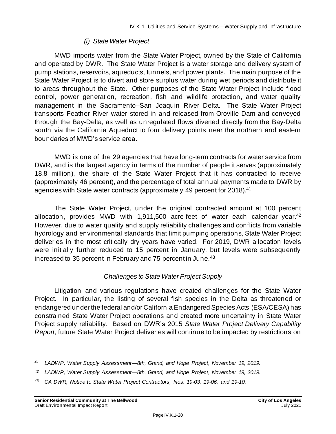#### *(i) State Water Project*

MWD imports water from the State Water Project, owned by the State of California and operated by DWR. The State Water Project is a water storage and delivery system of pump stations, reservoirs, aqueducts, tunnels, and power plants. The main purpose of the State Water Project is to divert and store surplus water during wet periods and distribute it to areas throughout the State. Other purposes of the State Water Project include flood control, power generation, recreation, fish and wildlife protection, and water quality management in the Sacramento–San Joaquin River Delta. The State Water Project transports Feather River water stored in and released from Oroville Dam and conveyed through the Bay-Delta, as well as unregulated flows diverted directly from the Bay-Delta south via the California Aqueduct to four delivery points near the northern and eastern boundaries of MWD's service area.

MWD is one of the 29 agencies that have long-term contracts for water service from DWR, and is the largest agency in terms of the number of people it serves (approximately 18.8 million), the share of the State Water Project that it has contracted to receive (approximately 46 percent), and the percentage of total annual payments made to DWR by agencies with State water contracts (approximately 49 percent for 2018).<sup>41</sup>

The State Water Project, under the original contracted amount at 100 percent allocation, provides MWD with 1,911,500 acre-feet of water each calendar year.<sup>42</sup> However, due to water quality and supply reliability challenges and conflicts from variable hydrology and environmental standards that limit pumping operations, State Water Project deliveries in the most critically dry years have varied. For 2019, DWR allocation levels were initially further reduced to 15 percent in January, but levels were subsequently increased to 35 percent in February and 75 percent in June.<sup>43</sup>

#### *Challenges to State Water Project Supply*

Litigation and various regulations have created challenges for the State Water Project. In particular, the listing of several fish species in the Delta as threatened or endangered under the federal and/or California Endangered Species Acts (ESA/CESA) has constrained State Water Project operations and created more uncertainty in State Water Project supply reliability. Based on DWR's 2015 *State Water Project Delivery Capability Report*, future State Water Project deliveries will continue to be impacted by restrictions on

*<sup>41</sup> LADWP, Water Supply Assessment—8th, Grand, and Hope Project, November 19, 2019.*

*<sup>42</sup> LADWP, Water Supply Assessment—8th, Grand, and Hope Project, November 19, 2019.*

*<sup>43</sup> CA DWR, Notice to State Water Project Contractors, Nos. 19-03, 19-06, and 19-10.*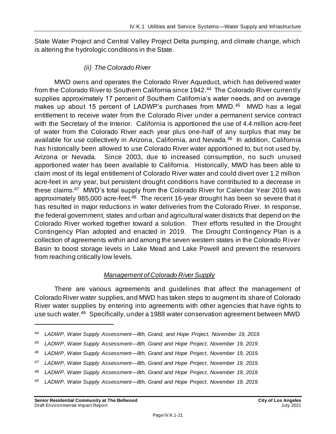State Water Project and Central Valley Project Delta pumping, and climate change, which is altering the hydrologic conditions in the State.

#### *(ii) The Colorado River*

MWD owns and operates the Colorado River Aqueduct, which has delivered water from the Colorado River to Southern California since 1942.<sup>44</sup> The Colorado River currently supplies approximately 17 percent of Southern California's water needs, and on average makes up about 15 percent of LADWP's purchases from MWD.<sup>45</sup> MWD has a legal entitlement to receive water from the Colorado River under a permanent service contract with the Secretary of the Interior. California is apportioned the use of 4.4 million acre-feet of water from the Colorado River each year plus one-half of any surplus that may be available for use collectively in Arizona, California, and Nevada.<sup>46</sup> In addition, California has historically been allowed to use Colorado River water apportioned to, but not used by, Arizona or Nevada. Since 2003, due to increased consumption, no such unused apportioned water has been available to California. Historically, MWD has been able to claim most of its legal entitlement of Colorado River water and could divert over 1.2 million acre-feet in any year, but persistent drought conditions have contributed to a decrease in these claims.<sup>47</sup> MWD's total supply from the Colorado River for Calendar Year 2016 was approximately 985,000 acre-feet.<sup>48</sup> The recent 16-year drought has been so severe that it has resulted in major reductions in water deliveries from the Colorado River. In response, the federal government, states and urban and agricultural water districts that depend on the Colorado River worked together toward a solution. Their efforts resulted in the Drought Contingency Plan adopted and enacted in 2019. The Drought Contingency Plan is a collection of agreements within and among the seven western states in the Colorado River Basin to boost storage levels in Lake Mead and Lake Powell and prevent the reservoirs from reaching critically low levels.

#### *Management of Colorado River Supply*

There are various agreements and guidelines that affect the management of Colorado River water supplies, and MWD has taken steps to augment its share of Colorado River water supplies by entering into agreements with other agencies that have rights to use such water.<sup>49</sup> Specifically, under a 1988 water conservation agreement between MWD

*<sup>44</sup> LADWP, Water Supply Assessment—8th, Grand, and Hope Project, November 19, 2019.*

*<sup>45</sup> LADWP, Water Supply Assessment—8th, Grand and Hope Project, November 19, 2019.*

*<sup>46</sup> LADWP, Water Supply Assessment—8th, Grand and Hope Project, November 19, 2019.*

*<sup>47</sup> LADWP, Water Supply Assessment—8th, Grand and Hope Project, November 19, 2019.*

*<sup>48</sup> LADWP, Water Supply Assessment—8th, Grand and Hope Project, November 19, 2019.*

*<sup>49</sup> LADWP, Water Supply Assessment—8th, Grand and Hope Project, November 19, 2019.*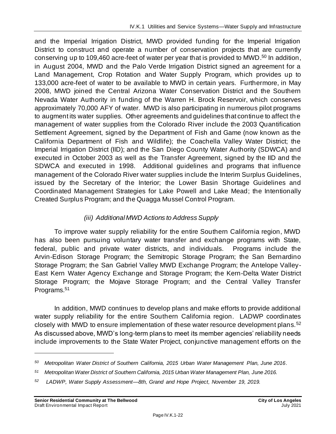and the Imperial Irrigation District, MWD provided funding for the Imperial Irrigation District to construct and operate a number of conservation projects that are currently conserving up to 109,460 acre-feet of water per year that is provided to MWD.<sup>50</sup> In addition, in August 2004, MWD and the Palo Verde Irrigation District signed an agreement for a Land Management, Crop Rotation and Water Supply Program, which provides up to 133,000 acre-feet of water to be available to MWD in certain years. Furthermore, in May 2008, MWD joined the Central Arizona Water Conservation District and the Southern Nevada Water Authority in funding of the Warren H. Brock Reservoir, which conserves approximately 70,000 AFY of water. MWD is also participating in numerous pilot programs to augment its water supplies. Other agreements and guidelines that continue to affect the management of water supplies from the Colorado River include the 2003 Quantification Settlement Agreement, signed by the Department of Fish and Game (now known as the California Department of Fish and Wildlife); the Coachella Valley Water District; the Imperial Irrigation District (IID); and the San Diego County Water Authority (SDWCA) and executed in October 2003 as well as the Transfer Agreement, signed by the IID and the SDWCA and executed in 1998. Additional guidelines and programs that influence management of the Colorado River water supplies include the Interim Surplus Guidelines, issued by the Secretary of the Interior; the Lower Basin Shortage Guidelines and Coordinated Management Strategies for Lake Powell and Lake Mead; the Intentionally Created Surplus Program; and the Quagga Mussel Control Program.

#### *(iii) Additional MWD Actions to Address Supply*

To improve water supply reliability for the entire Southern California region, MWD has also been pursuing voluntary water transfer and exchange programs with State, federal, public and private water districts, and individuals. Programs include the Arvin-Edison Storage Program; the Semitropic Storage Program; the San Bernardino Storage Program; the San Gabriel Valley MWD Exchange Program; the Antelope Valley-East Kern Water Agency Exchange and Storage Program; the Kern-Delta Water District Storage Program; the Mojave Storage Program; and the Central Valley Transfer Programs.<sup>51</sup>

In addition, MWD continues to develop plans and make efforts to provide additional water supply reliability for the entire Southern California region. LADWP coordinates closely with MWD to ensure implementation of these water resource development plans.<sup>52</sup> As discussed above, MWD's long-term plans to meet its member agencies' reliability needs include improvements to the State Water Project, conjunctive management efforts on the

*<sup>50</sup> Metropolitan Water District of Southern California, 2015 Urban Water Management Plan, June 2016.*

*<sup>51</sup> Metropolitan Water District of Southern California, 2015 Urban Water Management Plan, June 2016.*

*<sup>52</sup> LADWP, Water Supply Assessment—8th, Grand and Hope Project, November 19, 2019.*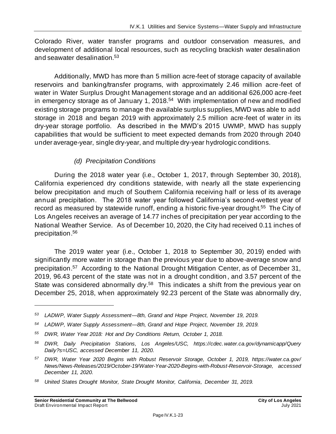Colorado River, water transfer programs and outdoor conservation measures, and development of additional local resources, such as recycling brackish water desalination and seawater desalination.<sup>53</sup>

Additionally, MWD has more than 5 million acre-feet of storage capacity of available reservoirs and banking/transfer programs, with approximately 2.46 million acre-feet of water in Water Surplus Drought Management storage and an additional 626,000 acre-feet in emergency storage as of January 1, 2018.<sup>54</sup> With implementation of new and modified existing storage programs to manage the available surplus supplies, MWD was able to add storage in 2018 and began 2019 with approximately 2.5 million acre-feet of water in its dry-year storage portfolio. As described in the MWD's 2015 UWMP, MWD has supply capabilities that would be sufficient to meet expected demands from 2020 through 2040 under average-year, single dry-year, and multiple dry-year hydrologic conditions.

#### *(d) Precipitation Conditions*

During the 2018 water year (i.e., October 1, 2017, through September 30, 2018), California experienced dry conditions statewide, with nearly all the state experiencing below precipitation and much of Southern California receiving half or less of its average annual precipitation. The 2018 water year followed California's second-wettest year of record as measured by statewide runoff, ending a historic five-year drought.<sup>55</sup> The City of Los Angeles receives an average of 14.77 inches of precipitation per year according to the National Weather Service. As of December 10, 2020, the City had received 0.11 inches of precipitation. 56

The 2019 water year (i.e., October 1, 2018 to September 30, 2019) ended with significantly more water in storage than the previous year due to above-average snow and precipitation.<sup>57</sup> According to the National Drought Mitigation Center, as of December 31, 2019, 96.43 percent of the state was not in a drought condition , and 3.57 percent of the State was considered abnormally dry.<sup>58</sup> This indicates a shift from the previous year on December 25, 2018, when approximately 92.23 percent of the State was abnormally dry,

*<sup>53</sup> LADWP, Water Supply Assessment—8th, Grand and Hope Project, November 19, 2019.*

*<sup>54</sup> LADWP, Water Supply Assessment—8th, Grand and Hope Project, November 19, 2019.*

*<sup>55</sup> DWR, Water Year 2018: Hot and Dry Conditions Return, October 1, 2018.*

*<sup>56</sup> DWR, Daily Precipitation Stations, Los Angeles/USC, https://cdec.water.ca.gov/dynamicapp/Query Daily?s=USC, accessed December 11, 2020.*

*<sup>57</sup> DWR, Water Year 2020 Begins with Robust Reservoir Storage, October 1, 2019, https://water.ca.gov/ News/News-Releases/2019/October-19/Water-Year-2020-Begins-with-Robust-Reservoir-Storage, accessed December 11, 2020.*

*<sup>58</sup> United States Drought Monitor, State Drought Monitor, California, December 31, 2019.*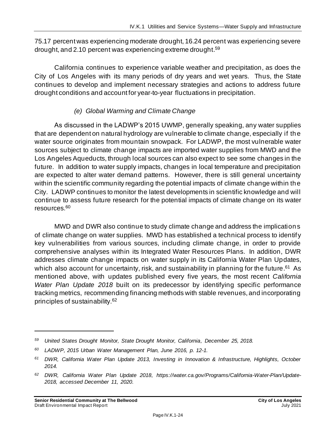75.17 percent was experiencing moderate drought, 16.24 percent was experiencing severe drought, and 2.10 percent was experiencing extreme drought. 59

California continues to experience variable weather and precipitation, as does the City of Los Angeles with its many periods of dry years and wet years. Thus, the State continues to develop and implement necessary strategies and actions to address future drought conditions and account for year-to-year fluctuations in precipitation.

#### *(e) Global Warming and Climate Change*

As discussed in the LADWP's 2015 UWMP, generally speaking, any water supplies that are dependent on natural hydrology are vulnerable to climate change, especially if the water source originates from mountain snowpack. For LADWP, the most vulnerable water sources subject to climate change impacts are imported water supplies from MWD and the Los Angeles Aqueducts, through local sources can also expect to see some changes in the future. In addition to water supply impacts, changes in local temperature and precipitation are expected to alter water demand patterns. However, there is still general uncertainty within the scientific community regarding the potential impacts of climate change within the City. LADWP continues to monitor the latest developments in scientific knowledge and will continue to assess future research for the potential impacts of climate change on its water resources.<sup>60</sup>

MWD and DWR also continue to study climate change and address the implications of climate change on water supplies. MWD has established a technical process to identify key vulnerabilities from various sources, including climate change, in order to provide comprehensive analyses within its Integrated Water Resources Plans. In addition, DWR addresses climate change impacts on water supply in its California Water Plan Updates, which also account for uncertainty, risk, and sustainability in planning for the future.<sup>61</sup> As mentioned above, with updates published every five years, the most recent *California Water Plan Update 2018* built on its predecessor by identifying specific performance tracking metrics, recommending financing methods with stable revenues, and incorporating principles of sustainability.<sup>62</sup>

*<sup>59</sup> United States Drought Monitor, State Drought Monitor, California, December 25, 2018.*

*<sup>60</sup> LADWP, 2015 Urban Water Management Plan, June 2016, p. 12-1.*

*<sup>61</sup> DWR, California Water Plan Update 2013, Investing in Innovation & Infrastructure, Highlights, October 2014.*

*<sup>62</sup> DWR, California Water Plan Update 2018, https://water.ca.gov/Programs/California-Water-Plan/Update-2018, accessed December 11, 2020.*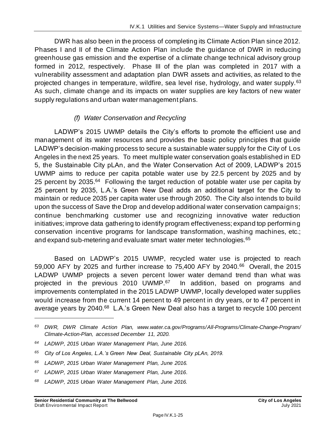DWR has also been in the process of completing its Climate Action Plan since 2012. Phases I and II of the Climate Action Plan include the guidance of DWR in reducing greenhouse gas emission and the expertise of a climate change technical advisory group formed in 2012, respectively. Phase III of the plan was completed in 2017 with a vulnerability assessment and adaptation plan DWR assets and activities, as related to the projected changes in temperature, wildfire, sea level rise, hydrology, and water supply.<sup>63</sup> As such, climate change and its impacts on water supplies are key factors of new water supply regulations and urban water management plans.

#### *(f) Water Conservation and Recycling*

LADWP's 2015 UWMP details the City's efforts to promote the efficient use and management of its water resources and provides the basic policy principles that guide LADWP's decision-making process to secure a sustainable water supply for the City of Los Angeles in the next 25 years. To meet multiple water conservation goals established in ED 5, the Sustainable City pLAn, and the Water Conservation Act of 2009, LADWP's 2015 UWMP aims to reduce per capita potable water use by 22.5 percent by 2025 and by 25 percent by 2035.<sup>64</sup> Following the target reduction of potable water use per capita by 25 percent by 2035, L.A.'s Green New Deal adds an additional target for the City to maintain or reduce 2035 per capita water use through 2050. The City also intends to build upon the success of Save the Drop and develop additional water conservation campaigns; continue benchmarking customer use and recognizing innovative water reduction initiatives; improve data gathering to identify program effectiveness; expand top performing conservation incentive programs for landscape transformation, washing machines, etc.; and expand sub-metering and evaluate smart water meter technologies.<sup>65</sup>

Based on LADWP's 2015 UWMP, recycled water use is projected to reach 59,000 AFY by 2025 and further increase to 75,400 AFY by 2040.<sup>66</sup> Overall, the 2015 LADWP UWMP projects a seven percent lower water demand trend than what was projected in the previous 2010 UWMP.<sup>67</sup> In addition, based on programs and improvements contemplated in the 2015 LADWP UWMP, locally developed water supplies would increase from the current 14 percent to 49 percent in dry years, or to 47 percent in average years by 2040.<sup>68</sup> L.A.'s Green New Deal also has a target to recycle 100 percent

- *<sup>66</sup> LADWP, 2015 Urban Water Management Plan, June 2016.*
- *<sup>67</sup> LADWP, 2015 Urban Water Management Plan, June 2016.*
- *<sup>68</sup> LADWP, 2015 Urban Water Management Plan, June 2016.*

*<sup>63</sup> DWR, DWR Climate Action Plan, www.water.ca.gov/Programs/All-Programs/Climate-Change-Program/ Climate-Action-Plan, accessed December 11, 2020.*

*<sup>64</sup> LADWP, 2015 Urban Water Management Plan, June 2016.*

*<sup>65</sup> City of Los Angeles, L.A.'s Green New Deal, Sustainable City pLAn, 2019.*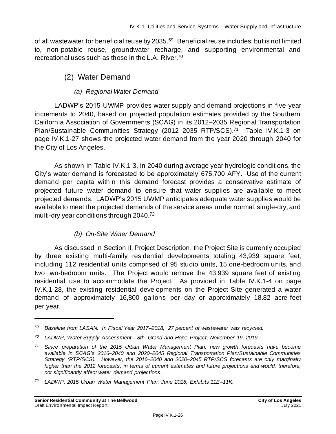of all wastewater for beneficial reuse by 2035.<sup>69</sup> Beneficial reuse includes, but is not limited to, non-potable reuse, groundwater recharge, and supporting environmental and recreational uses such as those in the L.A. River. 70

### (2) Water Demand

#### *(a) Regional Water Demand*

LADWP's 2015 UWMP provides water supply and demand projections in five-year increments to 2040, based on projected population estimates provided by the Southern California Association of Governments (SCAG) in its 2012–2035 Regional Transportation Plan/Sustainable Communities Strategy (2012-2035 RTP/SCS).<sup>71</sup> Table IV.K.1-3 on page [IV.K.1-27](#page-26-0) shows the projected water demand from the year 2020 through 2040 for the City of Los Angeles.

As shown in Table IV.K.1-3, in 2040 during average year hydrologic conditions, the City's water demand is forecasted to be approximately 675,700 AFY. Use of the current demand per capita within this demand forecast provides a conservative estimate of projected future water demand to ensure that water supplies are available to meet projected demands. LADWP's 2015 UWMP anticipates adequate water supplies would be available to meet the projected demands of the service areas under normal, single-dry, and multi-dry year conditions through 2040. 72

#### *(b) On-Site Water Demand*

As discussed in Section II, Project Description, the Project Site is currently occupied by three existing multi-family residential developments totaling 43,939 square feet, including 112 residential units comprised of 95 studio units, 15 one-bedroom units, and two two-bedroom units. The Project would remove the 43,939 square feet of existing residential use to accommodate the Project. As provided in Table IV.K.1-4 on page [IV.K.1-28,](#page-27-0) the existing residential developments on the Project Site generated a water demand of approximately 16,800 gallons per day or approximately 18.82 acre-feet per year.

*<sup>69</sup> Baseline from LASAN: In Fiscal Year 2017–2018, 27 percent of wastewater was recycled.*

*<sup>70</sup> LADWP, Water Supply Assessment—8th, Grand and Hope Project, November 19, 2019.*

*<sup>71</sup> Since preparation of the 2015 Urban Water Management Plan, new growth forecasts have become available in SCAG's 2016–2040 and 2020–2045 Regional Transportation Plan/Sustainable Communities Strategy (RTP/SCS). However, the 2016–2040 and 2020–2045 RTP/SCS forecasts are only marginally higher than the 2012 forecasts, in terms of current estimates and future projections and would, therefore, not significantly affect water demand projections.*

*<sup>72</sup> LADWP, 2015 Urban Water Management Plan, June 2016, Exhibits 11E–11K.*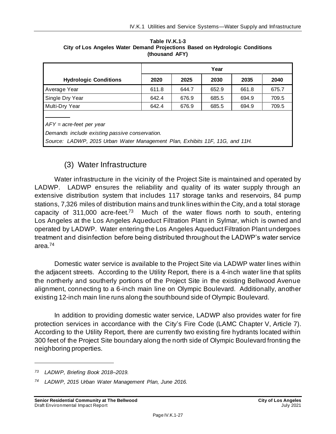|                                                                                                                                                              | Year  |       |       |       |       |
|--------------------------------------------------------------------------------------------------------------------------------------------------------------|-------|-------|-------|-------|-------|
| <b>Hydrologic Conditions</b>                                                                                                                                 | 2020  | 2025  | 2030  | 2035  | 2040  |
| Average Year                                                                                                                                                 | 611.8 | 644.7 | 652.9 | 661.8 | 675.7 |
| Single Dry Year                                                                                                                                              | 642.4 | 676.9 | 685.5 | 694.9 | 709.5 |
| Multi-Dry Year                                                                                                                                               | 642.4 | 676.9 | 685.5 | 694.9 | 709.5 |
| $AFY = acre-feet per year$<br>Demands include existing passive conservation.<br>Source: LADWP, 2015 Urban Water Management Plan, Exhibits 11F, 11G, and 11H. |       |       |       |       |       |

<span id="page-26-0"></span>**Table IV.K.1-3 City of Los Angeles Water Demand Projections Based on Hydrologic Conditions (thousand AFY)**

# (3) Water Infrastructure

Water infrastructure in the vicinity of the Project Site is maintained and operated by LADWP. LADWP ensures the reliability and quality of its water supply through an extensive distribution system that includes 117 storage tanks and reservoirs, 84 pump stations, 7,326 miles of distribution mains and trunk lines within the City, and a total storage capacity of 311,000 acre-feet.<sup>73</sup> Much of the water flows north to south, entering Los Angeles at the Los Angeles Aqueduct Filtration Plant in Sylmar, which is owned and operated by LADWP. Water entering the Los Angeles Aqueduct Filtration Plant undergoes treatment and disinfection before being distributed throughout the LADWP's water service area.<sup>74</sup>

Domestic water service is available to the Project Site via LADWP water lines within the adjacent streets. According to the Utility Report, there is a 4-inch water line that splits the northerly and southerly portions of the Project Site in the existing Bellwood Avenue alignment, connecting to a 6-inch main line on Olympic Boulevard. Additionally, another existing 12-inch main line runs along the southbound side of Olympic Boulevard.

In addition to providing domestic water service, LADWP also provides water for fire protection services in accordance with the City's Fire Code (LAMC Chapter V, Article 7). According to the Utility Report, there are currently two existing fire hydrants located within 300 feet of the Project Site boundary along the north side of Olympic Boulevard fronting the neighboring properties.

*<sup>73</sup> LADWP, Briefing Book 2018–2019.*

*<sup>74</sup> LADWP, 2015 Urban Water Management Plan, June 2016.*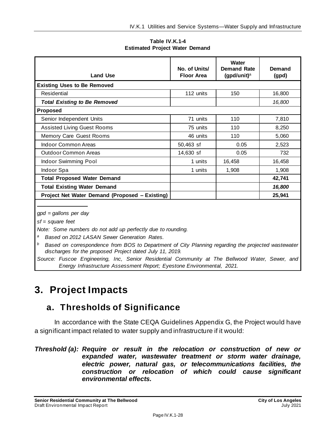**Table IV.K.1-4 Estimated Project Water Demand**

<span id="page-27-0"></span>

| <b>Land Use</b>                                | No. of Units/<br><b>Floor Area</b> | Water<br><b>Demand Rate</b><br>(gpd/unit) $a$ | Demand<br>(gpd) |
|------------------------------------------------|------------------------------------|-----------------------------------------------|-----------------|
| <b>Existing Uses to Be Removed</b>             |                                    |                                               |                 |
| Residential                                    | 112 units                          | 150                                           | 16,800          |
| <b>Total Existing to Be Removed</b>            |                                    |                                               | 16,800          |
| <b>Proposed</b>                                |                                    |                                               |                 |
| Senior Independent Units                       | 71 units                           | 110                                           | 7,810           |
| <b>Assisted Living Guest Rooms</b>             | 75 units                           | 110                                           | 8,250           |
| Memory Care Guest Rooms                        | 46 units                           | 110                                           | 5,060           |
| <b>Indoor Common Areas</b>                     | 50,463 sf                          | 0.05                                          | 2,523           |
| <b>Outdoor Common Areas</b>                    | 14,630 sf                          | 0.05                                          | 732             |
| Indoor Swimming Pool                           | 1 units                            | 16,458                                        | 16,458          |
| Indoor Spa                                     | 1 units                            | 1,908                                         | 1,908           |
| <b>Total Proposed Water Demand</b>             |                                    |                                               | 42,741          |
| <b>Total Existing Water Demand</b>             |                                    |                                               | 16,800          |
| Project Net Water Demand (Proposed – Existing) |                                    |                                               | 25,941          |

*gpd = gallons per day*

*sf = square feet*

*Note: Some numbers do not add up perfectly due to rounding.*

*<sup>a</sup> Based on 2012 LASAN Sewer Generation Rates.*

*<sup>b</sup> Based on correspondence from BOS to Department of City Planning regarding the projected wastewater discharges for the proposed Project dated July 11, 2019.*

*Source: Fuscoe Engineering, Inc, Senior Residential Community at The Bellwood Water, Sewer, and Energy Infrastructure Assessment Report; Eyestone Environmental, 2021.*

# **3. Project Impacts**

# **a. Thresholds of Significance**

In accordance with the State CEQA Guidelines Appendix G, the Project would have a significant impact related to water supply and infrastructure if it would:

#### *Threshold (a): Require or result in the relocation or construction of new or expanded water, wastewater treatment or storm water drainage, electric power, natural gas, or telecommunications facilities, the construction or relocation of which could cause significant environmental effects.*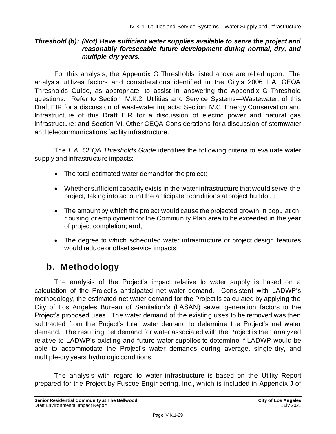#### *Threshold (b): (Not) Have sufficient water supplies available to serve the project and reasonably foreseeable future development during normal, dry, and multiple dry years.*

For this analysis, the Appendix G Thresholds listed above are relied upon. The analysis utilizes factors and considerations identified in the City's 2006 L.A. CEQA Thresholds Guide, as appropriate, to assist in answering the Appendix G Threshold questions. Refer to Section IV.K.2, Utilities and Service Systems—Wastewater, of this Draft EIR for a discussion of wastewater impacts; Section IV.C, Energy Conservation and Infrastructure of this Draft EIR for a discussion of electric power and natural gas infrastructure; and Section VI, Other CEQA Considerations for a discussion of stormwater and telecommunications facility infrastructure.

The *L.A. CEQA Thresholds Guide* identifies the following criteria to evaluate water supply and infrastructure impacts:

- The total estimated water demand for the project;
- Whether sufficient capacity exists in the water infrastructure that would serve the project, taking into account the anticipated conditions at project buildout;
- The amount by which the project would cause the projected growth in population, housing or employment for the Community Plan area to be exceeded in the year of project completion; and,
- The degree to which scheduled water infrastructure or project design features would reduce or offset service impacts.

# **b. Methodology**

The analysis of the Project's impact relative to water supply is based on a calculation of the Project's anticipated net water demand. Consistent with LADWP's methodology, the estimated net water demand for the Project is calculated by applying the City of Los Angeles Bureau of Sanitation's (LASAN) sewer generation factors to the Project's proposed uses. The water demand of the existing uses to be removed was then subtracted from the Project's total water demand to determine the Project's net water demand. The resulting net demand for water associated with the Project is then analyzed relative to LADWP's existing and future water supplies to determine if LADWP would be able to accommodate the Project's water demands during average, single-dry, and multiple-dry years hydrologic conditions.

The analysis with regard to water infrastructure is based on the Utility Report prepared for the Project by Fuscoe Engineering, Inc., which is included in Appendix J of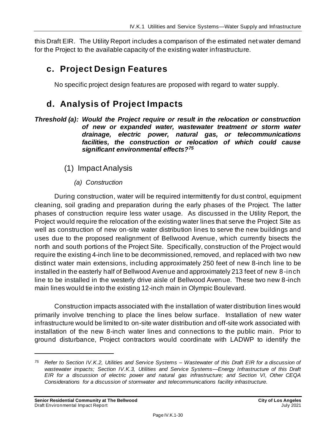this Draft EIR. The Utility Report includes a comparison of the estimated net water demand for the Project to the available capacity of the existing water infrastructure.

# **c. Project Design Features**

No specific project design features are proposed with regard to water supply.

# **d. Analysis of Project Impacts**

- *Threshold (a): Would the Project require or result in the relocation or construction of new or expanded water, wastewater treatment or storm water drainage, electric power, natural gas, or telecommunications facilities, the construction or relocation of which could cause significant environmental effects?<sup>75</sup>*
	- (1) Impact Analysis
		- *(a) Construction*

During construction, water will be required intermittently for dust control, equipment cleaning, soil grading and preparation during the early phases of the Project. The latter phases of construction require less water usage. As discussed in the Utility Report, the Project would require the relocation of the existing water lines that serve the Project Site as well as construction of new on-site water distribution lines to serve the new buildings and uses due to the proposed realignment of Bellwood Avenue, which currently bisects the north and south portions of the Project Site. Specifically, construction of the Project would require the existing 4-inch line to be decommissioned, removed, and replaced with two new distinct water main extensions, including approximately 250 feet of new 8-inch line to be installed in the easterly half of Bellwood Avenue and approximately 213 feet of new 8-inch line to be installed in the westerly drive aisle of Bellwood Avenue. These two new 8-inch main lines would tie into the existing 12-inch main in Olympic Boulevard.

Construction impacts associated with the installation of water distribution lines would primarily involve trenching to place the lines below surface. Installation of new water infrastructure would be limited to on-site water distribution and off-site work associated with installation of the new 8-inch water lines and connections to the public main. Prior to ground disturbance, Project contractors would coordinate with LADWP to identify the

*<sup>75</sup> Refer to Section IV.K.2, Utilities and Service Systems – Wastewater of this Draft EIR for a discussion of wastewater impacts; Section IV.K.3, Utilities and Service Systems—Energy Infrastructure of this Draft EIR for a discussion of electric power and natural gas infrastructure; and Section VI, Other CEQA Considerations for a discussion of stormwater and telecommunications facility infrastructure.*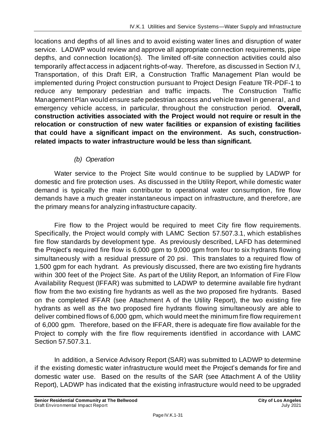locations and depths of all lines and to avoid existing water lines and disruption of water service. LADWP would review and approve all appropriate connection requirements, pipe depths, and connection location(s). The limited off-site connection activities could also temporarily affect access in adjacent rights-of-way. Therefore, as discussed in Section IV.I, Transportation, of this Draft EIR, a Construction Traffic Management Plan would be implemented during Project construction pursuant to Project Design Feature TR-PDF-1 to reduce any temporary pedestrian and traffic impacts. The Construction Traffic Management Plan would ensure safe pedestrian access and vehicle travel in general, and emergency vehicle access, in particular, throughout the construction period. **Overall, construction activities associated with the Project would not require or result in the relocation or construction of new water facilities or expansion of existing facilities that could have a significant impact on the environment. As such, constructionrelated impacts to water infrastructure would be less than significant.**

#### *(b) Operation*

Water service to the Project Site would continue to be supplied by LADWP for domestic and fire protection uses. As discussed in the Utility Report, while domestic water demand is typically the main contributor to operational water consumption, fire flow demands have a much greater instantaneous impact on infrastructure, and therefore, are the primary means for analyzing infrastructure capacity.

Fire flow to the Project would be required to meet City fire flow requirements. Specifically, the Project would comply with LAMC Section 57.507.3.1, which establishes fire flow standards by development type. As previously described, LAFD has determined the Project's required fire flow is 6,000 gpm to 9,000 gpm from four to six hydrants flowing simultaneously with a residual pressure of 20 psi. This translates to a required flow of 1,500 gpm for each hydrant. As previously discussed, there are two existing fire hydrants within 300 feet of the Project Site. As part of the Utility Report, an Information of Fire Flow Availability Request (IFFAR) was submitted to LADWP to determine available fire hydrant flow from the two existing fire hydrants as well as the two proposed fire hydrants. Based on the completed IFFAR (see Attachment A of the Utility Report), the two existing fire hydrants as well as the two proposed fire hydrants flowing simultaneously are able to deliver combined flows of 6,000 gpm, which would meet the minimum fire flow requirement of 6,000 gpm. Therefore, based on the IFFAR, there is adequate fire flow available for the Project to comply with the fire flow requirements identified in accordance with LAMC Section 57.507.3.1.

In addition, a Service Advisory Report (SAR) was submitted to LADWP to determine if the existing domestic water infrastructure would meet the Project's demands for fire and domestic water use. Based on the results of the SAR (see Attachment A of the Utility Report), LADWP has indicated that the existing infrastructure would need to be upgraded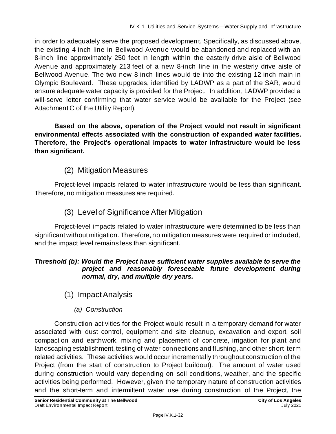in order to adequately serve the proposed development. Specifically, as discussed above, the existing 4-inch line in Bellwood Avenue would be abandoned and replaced with an 8-inch line approximately 250 feet in length within the easterly drive aisle of Bellwood Avenue and approximately 213 feet of a new 8-inch line in the westerly drive aisle of Bellwood Avenue. The two new 8-inch lines would tie into the existing 12-inch main in Olympic Boulevard. These upgrades, identified by LADWP as a part of the SAR, would ensure adequate water capacity is provided for the Project. In addition, LADWP provided a will-serve letter confirming that water service would be available for the Project (see Attachment C of the Utility Report).

**Based on the above, operation of the Project would not result in significant environmental effects associated with the construction of expanded water facilities. Therefore, the Project's operational impacts to water infrastructure would be less than significant.**

# (2) Mitigation Measures

Project-level impacts related to water infrastructure would be less than significant. Therefore, no mitigation measures are required.

# (3) Level of Significance After Mitigation

Project-level impacts related to water infrastructure were determined to be less than significant without mitigation. Therefore, no mitigation measures were required or included, and the impact level remains less than significant.

#### *Threshold (b): Would the Project have sufficient water supplies available to serve the project and reasonably foreseeable future development during normal, dry, and multiple dry years.*

- (1) Impact Analysis
	- *(a) Construction*

Construction activities for the Project would result in a temporary demand for water associated with dust control, equipment and site cleanup, excavation and export, soil compaction and earthwork, mixing and placement of concrete, irrigation for plant and landscaping establishment, testing of water connections and flushing, and other short-term related activities. These activities would occur incrementally throughout construction of the Project (from the start of construction to Project buildout). The amount of water used during construction would vary depending on soil conditions, weather, and the specific activities being performed. However, given the temporary nature of construction activities and the short-term and intermittent water use during construction of the Project, the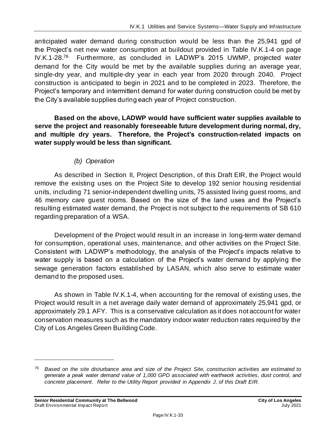anticipated water demand during construction would be less than the 25,941 gpd of the Project's net new water consumption at buildout provided in Table IV.K.1-4 on page IV.K.1-28.<sup>76</sup> Furthermore, as concluded in LADWP's 2015 UWMP, projected water demand for the City would be met by the available supplies during an average year, single-dry year, and multiple-dry year in each year from 2020 through 2040. Project construction is anticipated to begin in 2021 and to be completed in 2023. Therefore, the Project's temporary and intermittent demand for water during construction could be met by the City's available supplies during each year of Project construction.

**Based on the above, LADWP would have sufficient water supplies available to serve the project and reasonably foreseeable future development during normal, dry, and multiple dry years. Therefore, the Project's construction-related impacts on water supply would be less than significant.**

#### *(b) Operation*

As described in Section II, Project Description, of this Draft EIR, the Project would remove the existing uses on the Project Site to develop 192 senior housing residential units, including 71 senior-independent dwelling units, 75 assisted living guest rooms, and 46 memory care guest rooms. Based on the size of the land uses and the Project's resulting estimated water demand, the Project is not subject to the requirements of SB 610 regarding preparation of a WSA.

Development of the Project would result in an increase in long-term water demand for consumption, operational uses, maintenance, and other activities on the Project Site. Consistent with LADWP's methodology, the analysis of the Project's impacts relative to water supply is based on a calculation of the Project's water demand by applying the sewage generation factors established by LASAN, which also serve to estimate water demand to the proposed uses.

As shown in Table IV.K.1-4, when accounting for the removal of existing uses, the Project would result in a net average daily water demand of approximately 25,941 gpd, or approximately 29.1 AFY. This is a conservative calculation as it does not account for water conservation measures such as the mandatory indoor water reduction rates required by the City of Los Angeles Green Building Code.

*<sup>76</sup> Based on the site disturbance area and size of the Project Site, construction activities are estimated to generate a peak water demand value of 1,000 GPD associated with earthwork activities, dust control, and concrete placement. Refer to the Utility Report provided in Appendix J, of this Draft EIR.*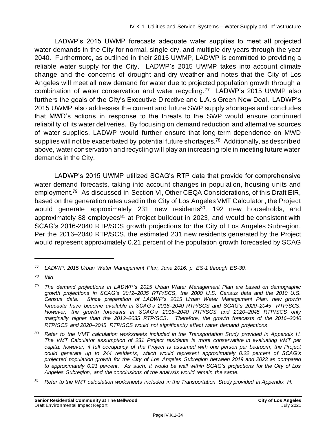LADWP's 2015 UWMP forecasts adequate water supplies to meet all projected water demands in the City for normal, single-dry, and multiple-dry years through the year 2040. Furthermore, as outlined in their 2015 UWMP, LADWP is committed to providing a reliable water supply for the City. LADWP's 2015 UWMP takes into account climate change and the concerns of drought and dry weather and notes that the City of Los Angeles will meet all new demand for water due to projected population growth through a combination of water conservation and water recycling.<sup>77</sup> LADWP's 2015 UWMP also furthers the goals of the City's Executive Directive and L.A.'s Green New Deal. LADWP's 2015 UWMP also addresses the current and future SWP supply shortages and concludes that MWD's actions in response to the threats to the SWP would ensure continued reliability of its water deliveries. By focusing on demand reduction and alternative sources of water supplies, LADWP would further ensure that long-term dependence on MWD supplies will not be exacerbated by potential future shortages.<sup>78</sup> Additionally, as described above, water conservation and recycling will play an increasing role in meeting future water demands in the City.

LADWP's 2015 UWMP utilized SCAG's RTP data that provide for comprehensive water demand forecasts, taking into account changes in population, housing units and employment.<sup>79</sup> As discussed in Section VI, Other CEQA Considerations, of this Draft EIR, based on the generation rates used in the City of Los Angeles VMT Calculator , the Project would generate approximately 231 new residents<sup>80</sup>, 192 new households, and approximately 88 employees<sup>81</sup> at Project buildout in 2023, and would be consistent with SCAG's 2016-2040 RTP/SCS growth projections for the City of Los Angeles Subregion. Per the 2016–2040 RTP/SCS, the estimated 231 new residents generated by the Project would represent approximately 0.21 percent of the population growth forecasted by SCAG

*<sup>80</sup> Refer to the VMT calculation worksheets included in the Transportation Study provided in Appendix H. The VMT Calculator assumption of 231 Project residents is more conservative in evaluating VMT per capita; however, if full occupancy of the Project is assumed with one person per bedroom, the Project could generate up to 244 residents, which would represent approximately 0.22 percent of SCAG's projected population growth for the City of Los Angeles Subregion between 2019 and 2023 as compared to approximately 0.21 percent. As such, it would be well within SCAG's projections for the City of Los Angeles Subregion, and the conclusions of the analysis would remain the same.*

*<sup>77</sup> LADWP, 2015 Urban Water Management Plan, June 2016, p. ES-1 through ES-30.*

*<sup>78</sup> Ibid.*

*<sup>79</sup> The demand projections in LADWP's 2015 Urban Water Management Plan are based on demographic growth projections in SCAG's 2012–2035 RTP/SCS, the 2000 U.S. Census data and the 2010 U.S. Census data. Since preparation of LADWP's 2015 Urban Water Management Plan, new growth forecasts have become available in SCAG's 2016–2040 RTP/SCS and SCAG's 2020–2045 RTP/SCS. However, the growth forecasts in SCAG's 2016–2040 RTP/SCS and 2020–2045 RTP/SCS only marginally higher than the 2012–2035 RTP/SCS. Therefore, the growth forecasts of the 2016–2040 RTP/SCS and 2020–2045 RTP/SCS would not significantly affect water demand projections.*

*<sup>81</sup> Refer to the VMT calculation worksheets included in the Transportation Study provided in Appendix H.*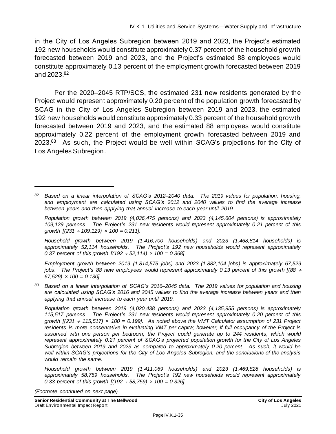in the City of Los Angeles Subregion between 2019 and 2023, the Project's estimated 192 new households would constitute approximately 0.37 percent of the household growth forecasted between 2019 and 2023, and the Project's estimated 88 employees would constitute approximately 0.13 percent of the employment growth forecasted between 2019 and 2023. 82

Per the 2020–2045 RTP/SCS, the estimated 231 new residents generated by the Project would represent approximately 0.20 percent of the population growth forecasted by SCAG in the City of Los Angeles Subregion between 2019 and 2023, the estimated 192 new households would constitute approximately 0.33 percent of the household growth forecasted between 2019 and 2023, and the estimated 88 employees would constitute approximately 0.22 percent of the employment growth forecasted between 2019 and 2023.<sup>83</sup> As such, the Project would be well within SCAG's projections for the City of Los Angeles Subregion.

*Household growth between 2019 (1,416,700 households) and 2023 (1,468,814 households) is approximately 52,114 households. The Project's 192 new households would represent approximately 0.37 percent of this growth [(192 52,114) × 100 = 0.368].*

*Employment growth between 2019 (1,814,575 jobs) and 2023 (1,882,104 jobs) is approximately 67,529 jobs.* The Project's 88 new employees would represent approximately 0.13 percent of this growth [(88  $\div$ *67,529) × 100 = 0.130].*

*<sup>83</sup> Based on a linear interpolation of SCAG's 2016–2045 data. The 2019 values for population and housing are calculated using SCAG's 2016 and 2045 values to find the average increase between years and then applying that annual increase to each year until 2019.*

*Population growth between 2019 (4,020,438 persons) and 2023 (4,135,955 persons) is approximately 115,517 persons. The Project's 231 new residents would represent approximately 0.20 percent of this growth [(231 115,517) × 100 = 0.199]. As noted above the VMT Calculator assumption of 231 Project residents is more conservative in evaluating VMT per capita; however, if full occupancy of the Project is assumed with one person per bedroom, the Project could generate up to 244 residents, which would represent approximately 0.21 percent of SCAG's projected population growth for the City of Los Angeles Subregion between 2019 and 2023 as compared to approximately 0.20 percent. As such, it would be well within SCAG's projections for the City of Los Angeles Subregion, and the conclusions of the analysis would remain the same.*

*Household growth between 2019 (1,411,069 households) and 2023 (1,469,828 households) is approximately 58,759 households. The Project's 192 new households would represent approximately 0.33 percent of this growth [(192 58,759) × 100 = 0.326].*

*(Footnote continued on next page)*

*<sup>82</sup> Based on a linear interpolation of SCAG's 2012–2040 data. The 2019 values for population, housing, and employment are calculated using SCAG's 2012 and 2040 values to find the average increase between years and then applying that annual increase to each year until 2019.*

*Population growth between 2019 (4,036,475 persons) and 2023 (4,145,604 persons) is approximately 109,129 persons. The Project's 231 new residents would represent approximately 0.21 percent of this growth [(231 109,129) × 100 = 0.211].*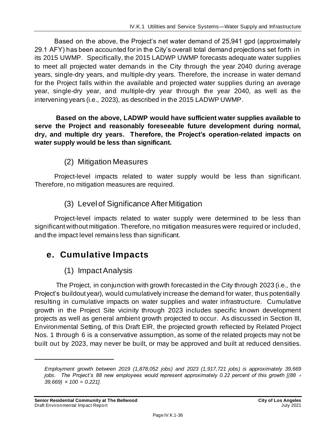Based on the above, the Project's net water demand of 25,941 gpd (approximately 29.1 AFY) has been accounted for in the City's overall total demand projections set forth in its 2015 UWMP. Specifically, the 2015 LADWP UWMP forecasts adequate water supplies to meet all projected water demands in the City through the year 2040 during average years, single-dry years, and multiple-dry years. Therefore, the increase in water demand for the Project falls within the available and projected water supplies during an average year, single-dry year, and multiple-dry year through the year 2040, as well as the intervening years (i.e., 2023), as described in the 2015 LADWP UWMP.

**Based on the above, LADWP would have sufficient water supplies available to serve the Project and reasonably foreseeable future development during normal, dry, and multiple dry years. Therefore, the Project's operation-related impacts on water supply would be less than significant.**

### (2) Mitigation Measures

Project-level impacts related to water supply would be less than significant. Therefore, no mitigation measures are required.

# (3) Level of Significance After Mitigation

Project-level impacts related to water supply were determined to be less than significant without mitigation. Therefore, no mitigation measures were required or included, and the impact level remains less than significant.

# **e. Cumulative Impacts**

### (1) Impact Analysis

The Project, in conjunction with growth forecasted in the City through 2023 (i.e., the Project's buildout year), would cumulatively increase the demand for water, thus potentially resulting in cumulative impacts on water supplies and water infrastructure. Cumulative growth in the Project Site vicinity through 2023 includes specific known development projects as well as general ambient growth projected to occur. As discussed in Section III, Environmental Setting, of this Draft EIR, the projected growth reflected by Related Project Nos. 1 through 6 is a conservative assumption, as some of the related projects may not be built out by 2023, may never be built, or may be approved and built at reduced densities.

*Employment growth between 2019 (1,878,052 jobs) and 2023 (1,917,721 jobs) is approximately 39,669 jobs.* The Project's 88 new employees would represent approximately 0.22 percent of this growth [(88  $\div$ *39,669) × 100 = 0.221].*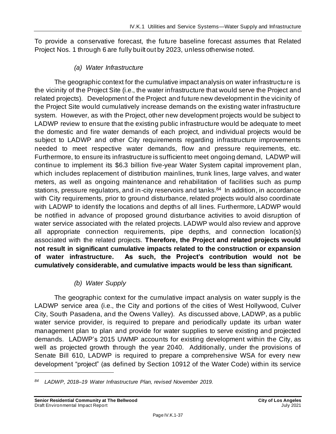To provide a conservative forecast, the future baseline forecast assumes that Related Project Nos. 1 through 6 are fully built out by 2023, unless otherwise noted.

#### *(a) Water Infrastructure*

The geographic context for the cumulative impact analysis on water infrastructure is the vicinity of the Project Site (i.e., the water infrastructure that would serve the Project and related projects). Development of the Project and future new development in the vicinity of the Project Site would cumulatively increase demands on the existing water infrastructure system. However, as with the Project, other new development projects would be subject to LADWP review to ensure that the existing public infrastructure would be adequate to meet the domestic and fire water demands of each project, and individual projects would be subject to LADWP and other City requirements regarding infrastructure improvements needed to meet respective water demands, flow and pressure requirements, etc. Furthermore, to ensure its infrastructure is sufficient to meet ongoing demand, LADWP will continue to implement its \$6.3 billion five-year Water System capital improvement plan, which includes replacement of distribution mainlines, trunk lines, large valves, and water meters, as well as ongoing maintenance and rehabilitation of facilities such as pump stations, pressure regulators, and in-city reservoirs and tanks.<sup>84</sup> In addition, in accordance with City requirements, prior to ground disturbance, related projects would also coordinate with LADWP to identify the locations and depths of all lines. Furthermore, LADWP would be notified in advance of proposed ground disturbance activities to avoid disruption of water service associated with the related projects. LADWP would also review and approve all appropriate connection requirements, pipe depths, and connection location(s) associated with the related projects. **Therefore, the Project and related projects would not result in significant cumulative impacts related to the construction or expansion of water infrastructure. As such, the Project's contribution would not be cumulatively considerable, and cumulative impacts would be less than significant.**

#### *(b) Water Supply*

The geographic context for the cumulative impact analysis on water supply is the LADWP service area (i.e., the City and portions of the cities of West Hollywood, Culver City, South Pasadena, and the Owens Valley). As discussed above, LADWP, as a public water service provider, is required to prepare and periodically update its urban water management plan to plan and provide for water supplies to serve existing and projected demands. LADWP's 2015 UWMP accounts for existing development within the City, as well as projected growth through the year 2040. Additionally, under the provisions of Senate Bill 610, LADWP is required to prepare a comprehensive WSA for every new development "project" (as defined by Section 10912 of the Water Code) within its service

*<sup>84</sup> LADWP, 2018–19 Water Infrastructure Plan, revised November 2019.*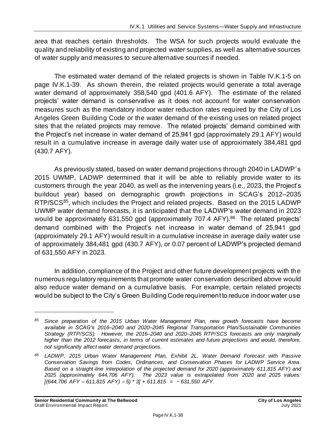area that reaches certain thresholds. The WSA for such projects would evaluate the quality and reliability of existing and projected water supplies, as well as alternative sources of water supply and measures to secure alternative sources if needed.

The estimated water demand of the related projects is shown in Table IV.K.1-5 on page IV.K.1-39. As shown therein, the related projects would generate a total average water demand of approximately 358,540 gpd (401.6 AFY). The estimate of the related projects' water demand is conservative as it does not account for water conservation measures such as the mandatory indoor water reduction rates required by the City of Los Angeles Green Building Code or the water demand of the existing uses on related project sites that the related projects may remove. The related projects' demand combined with the Project's net increase in water demand of 25,941 gpd (approximately 29.1 AFY) would result in a cumulative increase in average daily water use of approximately 384,481 gpd (430.7 AFY).

As previously stated, based on water demand projections through 2040 in LADWP's 2015 UWMP, LADWP determined that it will be able to reliably provide water to its customers through the year 2040, as well as the intervening years (i.e., 2023, the Project's buildout year) based on demographic growth projections in SCAG's 2012–2035 RTP/SCS<sup>85</sup>, which includes the Project and related projects. Based on the 2015 LADWP UWMP water demand forecasts, it is anticipated that the LADWP's water demand in 2023 would be approximately 631,550 gpd (approximately 707.4 AFY).<sup>86</sup> The related projects' demand combined with the Project's net increase in water demand of 25,941 gpd (approximately 29.1 AFY) would result in a cumulative increase in average daily water use of approximately 384,481 gpd (430.7 AFY), or 0.07 percent of LADWP's projected demand of 631,550 AFY in 2023.

In addition, compliance of the Project and other future development projects with the numerous regulatory requirements that promote water conservation described above would also reduce water demand on a cumulative basis. For example, certain related projects would be subject to the City's Green Building Code requirement to reduce indoor water use

*<sup>85</sup> Since preparation of the 2015 Urban Water Management Plan, new growth forecasts have become available in SCAG's 2016–2040 and 2020–2045 Regional Transportation Plan/Sustainable Communities Strategy (RTP/SCS). However, the 2016–2040 and 2020–2045 RTP/SCS forecasts are only marginally higher than the 2012 forecasts, in terms of current estimates and future projections and would, therefore, not significantly affect water demand projections.*

*<sup>86</sup> LADWP, 2015 Urban Water Management Plan, Exhibit 2L, Water Demand Forecast with Passive Conservation Savings from Codes, Ordinances, and Conservation Phases for LADWP Service Area. Based on a straight-line interpolation of the projected demand for 2020 (approximately 611,815 AFY) and 2025 (approximately 644,706 AFY). The 2023 value is extrapolated from 2020 and 2025 values: [(644,706 AFY – 611,815 AFY) 5) \* 3] + 611,815 = ~ 631,550 AFY.*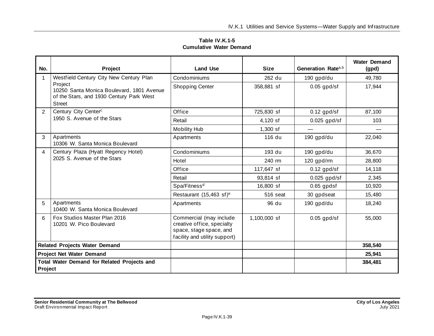|                                | Table IV.K.1-5 |  |
|--------------------------------|----------------|--|
| <b>Cumulative Water Demand</b> |                |  |

| No.                                  | Project                                                                                                           | <b>Land Use</b>                                                                                                   | <b>Size</b>  | Generation Rate <sup>a,b</sup> | <b>Water Demand</b><br>(gpd) |
|--------------------------------------|-------------------------------------------------------------------------------------------------------------------|-------------------------------------------------------------------------------------------------------------------|--------------|--------------------------------|------------------------------|
| 1                                    | Westfield Century City New Century Plan                                                                           | Condominiums                                                                                                      | 262 du       | 190 gpd/du                     | 49,780                       |
|                                      | Project<br>10250 Santa Monica Boulevard, 1801 Avenue<br>of the Stars, and 1930 Century Park West<br><b>Street</b> | <b>Shopping Center</b>                                                                                            | 358,881 sf   | $0.05$ gpd/sf                  | 17,944                       |
| $\mathbf{2}$                         | Century City Center <sup>c</sup>                                                                                  | Office                                                                                                            | 725,830 sf   | $0.12$ gpd/sf                  | 87,100                       |
|                                      | 1950 S. Avenue of the Stars                                                                                       | Retail                                                                                                            | 4,120 sf     | $0.025$ gpd/sf                 | 103                          |
|                                      |                                                                                                                   | <b>Mobility Hub</b>                                                                                               | $1,300$ sf   |                                |                              |
| 3                                    | Apartments<br>10306 W. Santa Monica Boulevard                                                                     | Apartments                                                                                                        | 116 du       | 190 gpd/du                     | 22,040                       |
| 4                                    | Century Plaza (Hyatt Regency Hotel)<br>2025 S. Avenue of the Stars                                                | Condominiums                                                                                                      | 193 du       | 190 gpd/du                     | 36,670                       |
|                                      |                                                                                                                   | Hotel                                                                                                             | 240 rm       | 120 gpd/rm                     | 28,800                       |
|                                      |                                                                                                                   | Office                                                                                                            | 117,647 sf   | $0.12$ gpd/sf                  | 14,118                       |
|                                      |                                                                                                                   | Retail                                                                                                            | 93,814 sf    | $0.025$ gpd/sf                 | 2,345                        |
|                                      |                                                                                                                   | Spa/Fitness <sup>d</sup>                                                                                          | 16,800 sf    | $0.65$ gpdsf                   | 10,920                       |
|                                      |                                                                                                                   | Restaurant (15,463 sf) <sup>e</sup>                                                                               | 516 seat     | 30 gpdseat                     | 15,480                       |
| 5                                    | Apartments<br>10400 W. Santa Monica Boulevard                                                                     | Apartments                                                                                                        | 96 du        | 190 gpd/du                     | 18,240                       |
| 6                                    | Fox Studios Master Plan 2016<br>10201 W. Pico Boulevard                                                           | Commercial (may include<br>creative office, specialty<br>space, stage space, and<br>facility and utility support) | 1,100,000 sf | $0.05$ gpd/sf                  | 55,000                       |
| <b>Related Projects Water Demand</b> |                                                                                                                   |                                                                                                                   |              |                                | 358,540                      |
|                                      | <b>Project Net Water Demand</b>                                                                                   |                                                                                                                   |              |                                | 25,941                       |
| <b>Project</b>                       | <b>Total Water Demand for Related Projects and</b>                                                                |                                                                                                                   |              |                                | 384,481                      |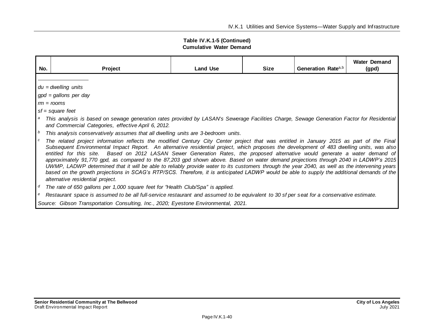| Table IV.K.1-5 (Continued)     |
|--------------------------------|
| <b>Cumulative Water Demand</b> |

| No.         | Project                                                                                                                                                                                                                                                                                                                                                                                                                                                                                                                                                                                                                                                                                                                                                                                                                                                                                                                                                                                                                                                                                                                                                                                                                                                                                                         | <b>Land Use</b> | <b>Size</b> | Generation Rate <sup>a,b</sup> | <b>Water Demand</b><br>(gpd) |  |  |  |
|-------------|-----------------------------------------------------------------------------------------------------------------------------------------------------------------------------------------------------------------------------------------------------------------------------------------------------------------------------------------------------------------------------------------------------------------------------------------------------------------------------------------------------------------------------------------------------------------------------------------------------------------------------------------------------------------------------------------------------------------------------------------------------------------------------------------------------------------------------------------------------------------------------------------------------------------------------------------------------------------------------------------------------------------------------------------------------------------------------------------------------------------------------------------------------------------------------------------------------------------------------------------------------------------------------------------------------------------|-----------------|-------------|--------------------------------|------------------------------|--|--|--|
|             | $du = dwelling$ units<br>$gpd = gallons$ per day<br>$rm = rooms$<br>$sf = square feet$<br>This analysis is based on sewage generation rates provided by LASAN's Sewerage Facilities Charge, Sewage Generation Factor for Residential<br>and Commercial Categories, effective April 6, 2012.                                                                                                                                                                                                                                                                                                                                                                                                                                                                                                                                                                                                                                                                                                                                                                                                                                                                                                                                                                                                                     |                 |             |                                |                              |  |  |  |
| b<br>c<br>e | This analysis conservatively assumes that all dwelling units are 3-bedroom units.<br>The related project information reflects the modified Century City Center project that was entitled in January 2015 as part of the Final<br>Subsequent Environmental Impact Report. An alternative residential project, which proposes the development of 483 dwelling units, was also<br>entitled for this site. Based on 2012 LASAN Sewer Generation Rates, the proposed alternative would generate a water demand of<br>approximately 91,770 gpd, as compared to the 87,203 gpd shown above. Based on water demand projections through 2040 in LADWP's 2015<br>UWMP, LADWP determined that it will be able to reliably provide water to its customers through the year 2040, as well as the intervening years<br>based on the growth projections in SCAG's RTP/SCS. Therefore, it is anticipated LADWP would be able to supply the additional demands of the<br>alternative residential project.<br>The rate of 650 gallons per 1,000 square feet for "Health Club/Spa" is applied.<br>Restaurant space is assumed to be all full-service restaurant and assumed to be equivalent to 30 sf per seat for a conservative estimate.<br>Source: Gibson Transportation Consulting, Inc., 2020; Eyestone Environmental, 2021. |                 |             |                                |                              |  |  |  |